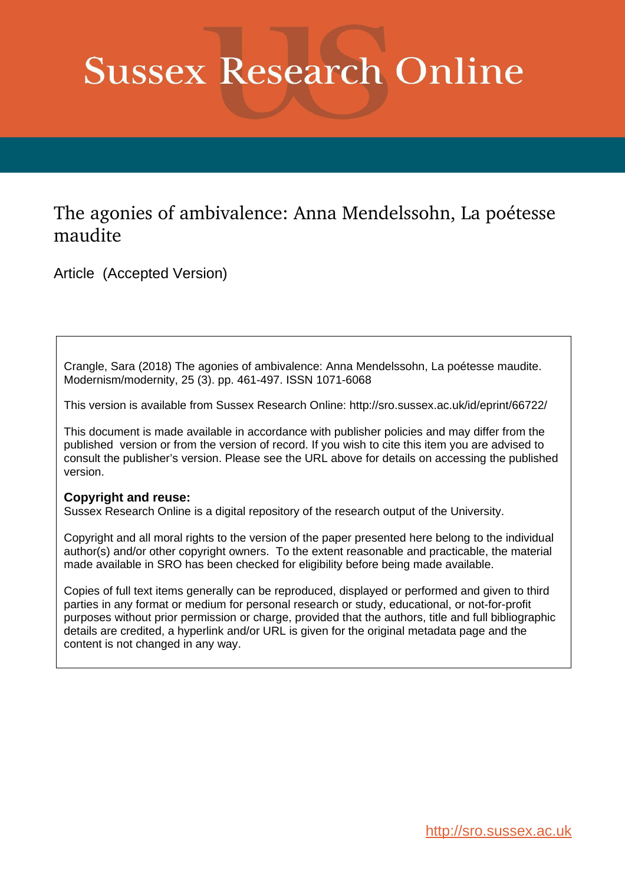# **Sussex Research Online**

# The agonies of ambivalence: Anna Mendelssohn, La poétesse maudite

Article (Accepted Version)

Crangle, Sara (2018) The agonies of ambivalence: Anna Mendelssohn, La poétesse maudite. Modernism/modernity, 25 (3). pp. 461-497. ISSN 1071-6068

This version is available from Sussex Research Online: http://sro.sussex.ac.uk/id/eprint/66722/

This document is made available in accordance with publisher policies and may differ from the published version or from the version of record. If you wish to cite this item you are advised to consult the publisher's version. Please see the URL above for details on accessing the published version.

# **Copyright and reuse:**

Sussex Research Online is a digital repository of the research output of the University.

Copyright and all moral rights to the version of the paper presented here belong to the individual author(s) and/or other copyright owners. To the extent reasonable and practicable, the material made available in SRO has been checked for eligibility before being made available.

Copies of full text items generally can be reproduced, displayed or performed and given to third parties in any format or medium for personal research or study, educational, or not-for-profit purposes without prior permission or charge, provided that the authors, title and full bibliographic details are credited, a hyperlink and/or URL is given for the original metadata page and the content is not changed in any way.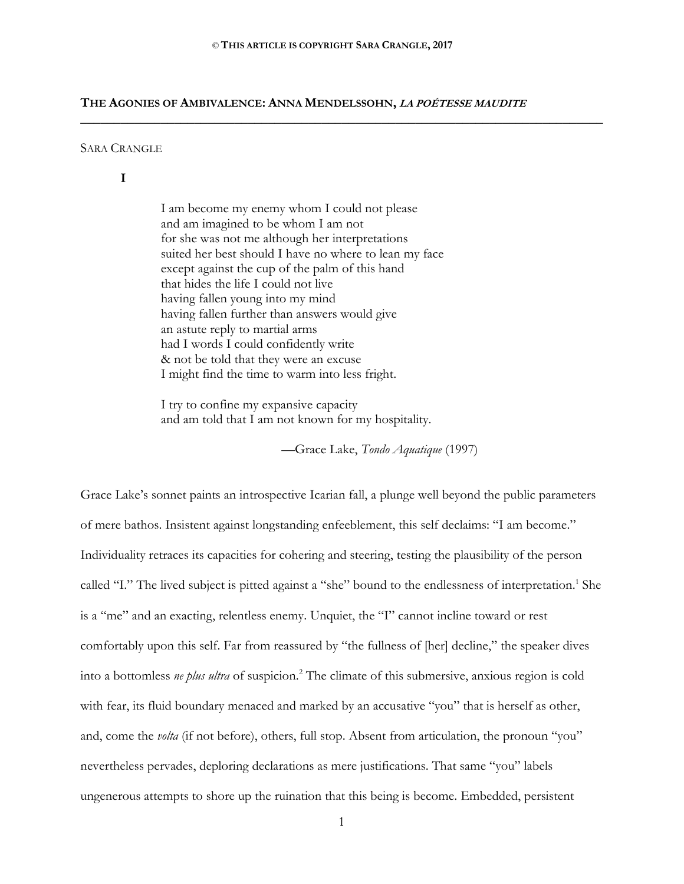**\_\_\_\_\_\_\_\_\_\_\_\_\_\_\_\_\_\_\_\_\_\_\_\_\_\_\_\_\_\_\_\_\_\_\_\_\_\_\_\_\_\_\_\_\_\_\_\_\_\_\_\_\_\_\_\_\_\_\_\_\_\_\_\_\_\_\_\_\_\_\_\_\_\_\_\_\_\_**

# **THE AGONIES OF AMBIVALENCE: ANNA MENDELSSOHN, LA POÉTESSE MAUDITE**

# SARA CRANGLE

# **I**

I am become my enemy whom I could not please and am imagined to be whom I am not for she was not me although her interpretations suited her best should I have no where to lean my face except against the cup of the palm of this hand that hides the life I could not live having fallen young into my mind having fallen further than answers would give an astute reply to martial arms had I words I could confidently write & not be told that they were an excuse I might find the time to warm into less fright.

I try to confine my expansive capacity and am told that I am not known for my hospitality.

—Grace Lake, *Tondo Aquatique* (1997)

Grace Lake's sonnet paints an introspective Icarian fall, a plunge well beyond the public parameters of mere bathos. Insistent against longstanding enfeeblement, this self declaims: "I am become." Individuality retraces its capacities for cohering and steering, testing the plausibility of the person called "I." The lived subject is pitted against a "she" bound to the endlessness of interpretation.<sup>1</sup> She is a "me" and an exacting, relentless enemy. Unquiet, the "I" cannot incline toward or rest comfortably upon this self. Far from reassured by "the fullness of [her] decline," the speaker dives into a bottomless *ne plus ultra* of suspicion.<sup>2</sup> The climate of this submersive, anxious region is cold with fear, its fluid boundary menaced and marked by an accusative "you" that is herself as other, and, come the *volta* (if not before), others, full stop. Absent from articulation, the pronoun "you" nevertheless pervades, deploring declarations as mere justifications. That same "you" labels ungenerous attempts to shore up the ruination that this being is become. Embedded, persistent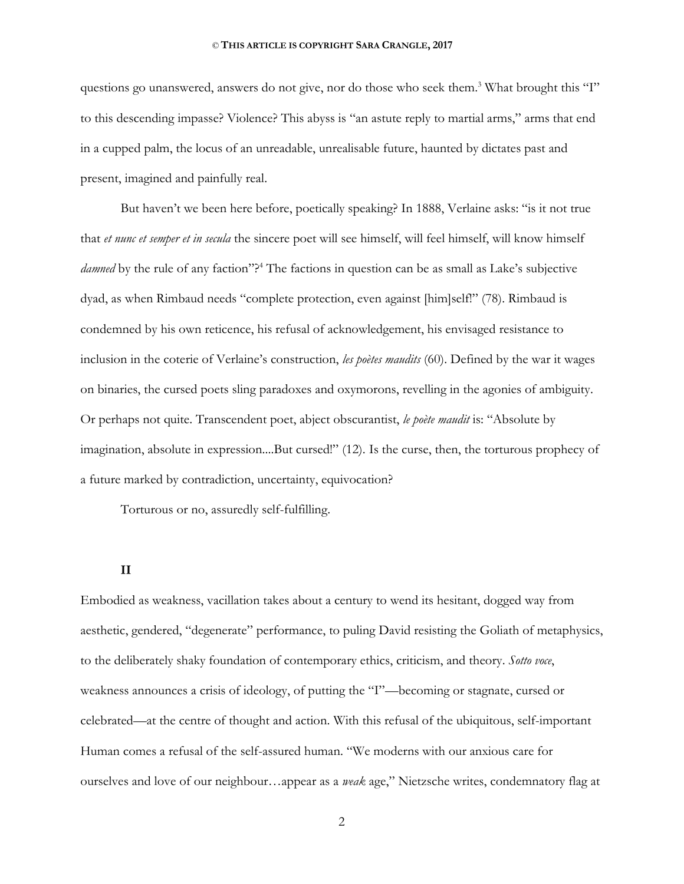questions go unanswered, answers do not give, nor do those who seek them.<sup>3</sup> What brought this "I" to this descending impasse? Violence? This abyss is "an astute reply to martial arms," arms that end in a cupped palm, the locus of an unreadable, unrealisable future, haunted by dictates past and present, imagined and painfully real.

But haven't we been here before, poetically speaking? In 1888, Verlaine asks: "is it not true that *et nunc et semper et in secula* the sincere poet will see himself, will feel himself, will know himself damned by the rule of any faction"?<sup>4</sup> The factions in question can be as small as Lake's subjective dyad, as when Rimbaud needs "complete protection, even against [him]self!" (78). Rimbaud is condemned by his own reticence, his refusal of acknowledgement, his envisaged resistance to inclusion in the coterie of Verlaine's construction, *les poètes maudits* (60). Defined by the war it wages on binaries, the cursed poets sling paradoxes and oxymorons, revelling in the agonies of ambiguity. Or perhaps not quite. Transcendent poet, abject obscurantist, *le poète maudit* is: "Absolute by imagination, absolute in expression....But cursed!" (12). Is the curse, then, the torturous prophecy of a future marked by contradiction, uncertainty, equivocation?

Torturous or no, assuredly self-fulfilling.

# **II**

Embodied as weakness, vacillation takes about a century to wend its hesitant, dogged way from aesthetic, gendered, "degenerate" performance, to puling David resisting the Goliath of metaphysics, to the deliberately shaky foundation of contemporary ethics, criticism, and theory. *Sotto voce*, weakness announces a crisis of ideology, of putting the "I"—becoming or stagnate, cursed or celebrated—at the centre of thought and action. With this refusal of the ubiquitous, self-important Human comes a refusal of the self-assured human. "We moderns with our anxious care for ourselves and love of our neighbour…appear as a *weak* age," Nietzsche writes, condemnatory flag at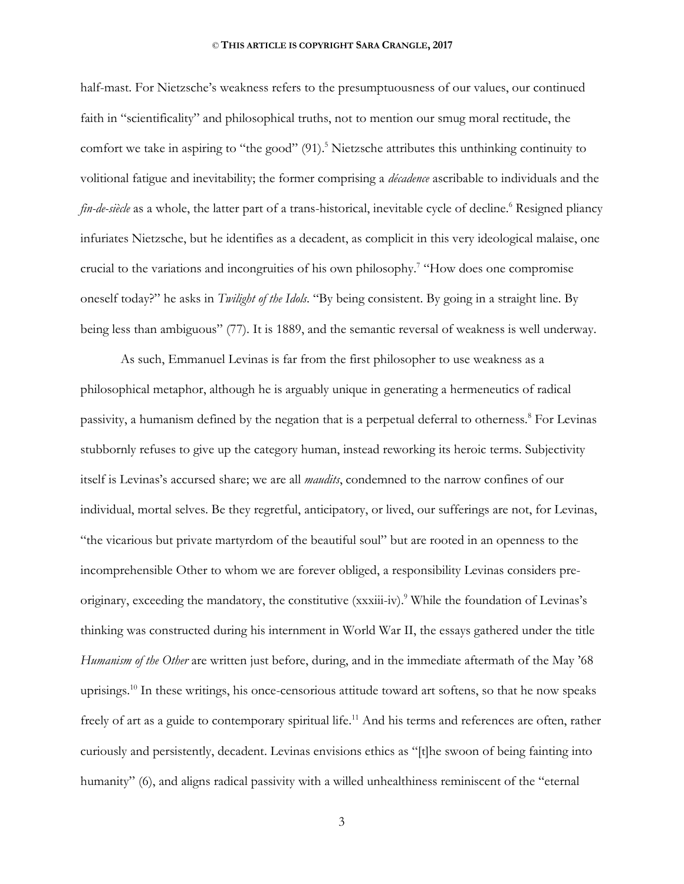half-mast. For Nietzsche's weakness refers to the presumptuousness of our values, our continued faith in "scientificality" and philosophical truths, not to mention our smug moral rectitude, the comfort we take in aspiring to "the good" (91). <sup>5</sup> Nietzsche attributes this unthinking continuity to volitional fatigue and inevitability; the former comprising a *décadence* ascribable to individuals and the *fin-de-siècle* as a whole, the latter part of a trans-historical, inevitable cycle of decline.<sup>6</sup> Resigned pliancy infuriates Nietzsche, but he identifies as a decadent, as complicit in this very ideological malaise, one crucial to the variations and incongruities of his own philosophy.<sup>7</sup> "How does one compromise oneself today?" he asks in *Twilight of the Idols*. "By being consistent. By going in a straight line. By being less than ambiguous" (77). It is 1889, and the semantic reversal of weakness is well underway.

As such, Emmanuel Levinas is far from the first philosopher to use weakness as a philosophical metaphor, although he is arguably unique in generating a hermeneutics of radical passivity, a humanism defined by the negation that is a perpetual deferral to otherness. <sup>8</sup> For Levinas stubbornly refuses to give up the category human, instead reworking its heroic terms. Subjectivity itself is Levinas's accursed share; we are all *maudits*, condemned to the narrow confines of our individual, mortal selves. Be they regretful, anticipatory, or lived, our sufferings are not, for Levinas, "the vicarious but private martyrdom of the beautiful soul" but are rooted in an openness to the incomprehensible Other to whom we are forever obliged, a responsibility Levinas considers preoriginary, exceeding the mandatory, the constitutive (xxxiii-iv).<sup>9</sup> While the foundation of Levinas's thinking was constructed during his internment in World War II, the essays gathered under the title *Humanism of the Other* are written just before, during, and in the immediate aftermath of the May '68 uprisings. <sup>10</sup> In these writings, his once-censorious attitude toward art softens, so that he now speaks freely of art as a guide to contemporary spiritual life.<sup>11</sup> And his terms and references are often, rather curiously and persistently, decadent. Levinas envisions ethics as "[t]he swoon of being fainting into humanity" (6), and aligns radical passivity with a willed unhealthiness reminiscent of the "eternal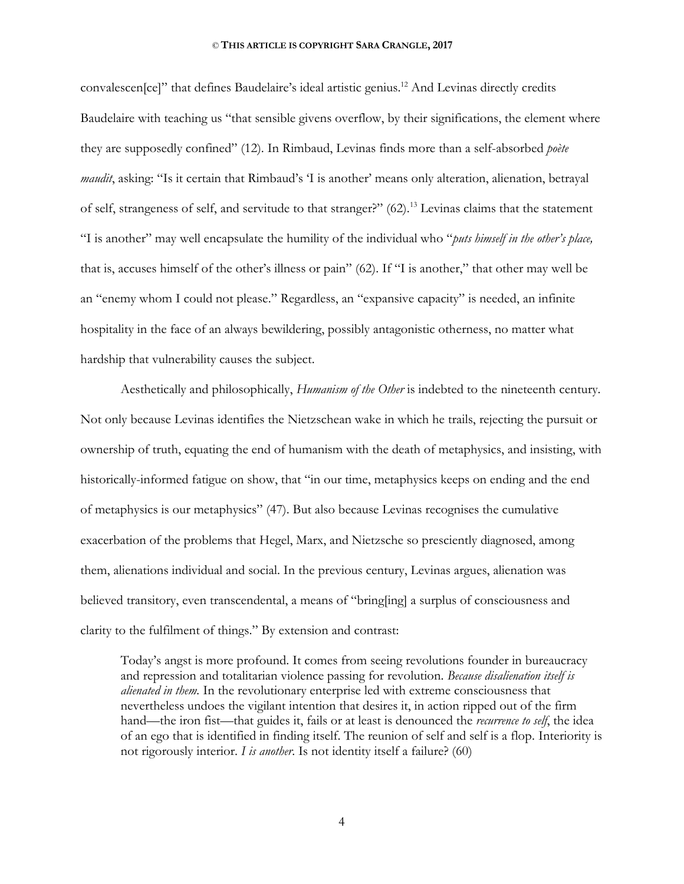convalescen[ce]" that defines Baudelaire's ideal artistic genius. <sup>12</sup> And Levinas directly credits Baudelaire with teaching us "that sensible givens overflow, by their significations, the element where they are supposedly confined" (12). In Rimbaud, Levinas finds more than a self-absorbed *poète maudit*, asking: "Is it certain that Rimbaud's 'I is another' means only alteration, alienation, betrayal of self, strangeness of self, and servitude to that stranger?" (62).<sup>13</sup> Levinas claims that the statement "I is another" may well encapsulate the humility of the individual who "*puts himself in the other's place,* that is, accuses himself of the other's illness or pain" (62). If "I is another," that other may well be an "enemy whom I could not please." Regardless, an "expansive capacity" is needed, an infinite hospitality in the face of an always bewildering, possibly antagonistic otherness, no matter what hardship that vulnerability causes the subject.

Aesthetically and philosophically, *Humanism of the Other* is indebted to the nineteenth century. Not only because Levinas identifies the Nietzschean wake in which he trails, rejecting the pursuit or ownership of truth, equating the end of humanism with the death of metaphysics, and insisting, with historically-informed fatigue on show, that "in our time, metaphysics keeps on ending and the end of metaphysics is our metaphysics" (47). But also because Levinas recognises the cumulative exacerbation of the problems that Hegel, Marx, and Nietzsche so presciently diagnosed, among them, alienations individual and social. In the previous century, Levinas argues, alienation was believed transitory, even transcendental, a means of "bring[ing] a surplus of consciousness and clarity to the fulfilment of things." By extension and contrast:

Today's angst is more profound. It comes from seeing revolutions founder in bureaucracy and repression and totalitarian violence passing for revolution. *Because disalienation itself is alienated in them.* In the revolutionary enterprise led with extreme consciousness that nevertheless undoes the vigilant intention that desires it, in action ripped out of the firm hand—the iron fist—that guides it, fails or at least is denounced the *recurrence to self*, the idea of an ego that is identified in finding itself. The reunion of self and self is a flop. Interiority is not rigorously interior. *I is another*. Is not identity itself a failure? (60)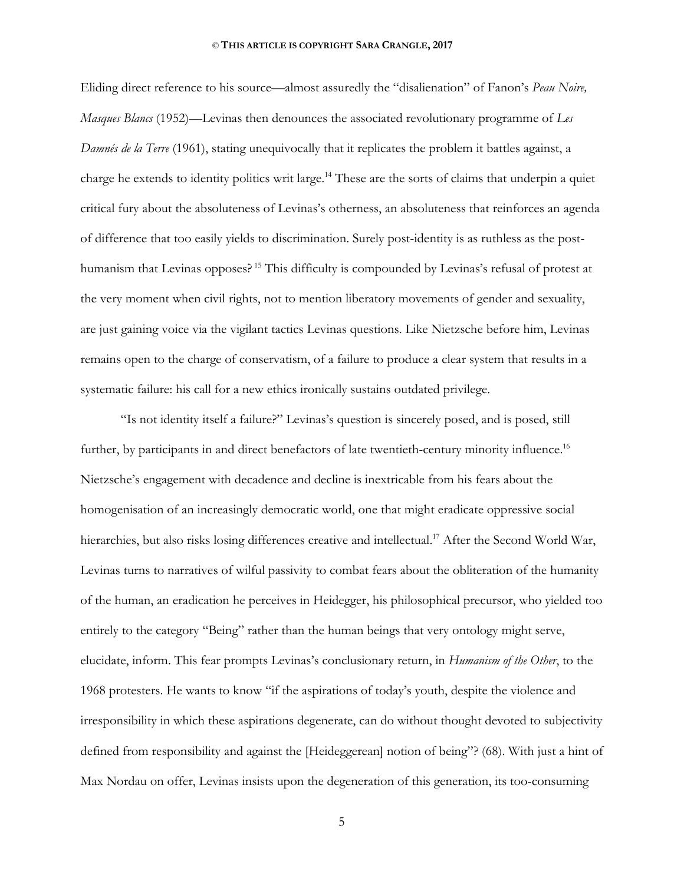Eliding direct reference to his source—almost assuredly the "disalienation" of Fanon's *Peau Noire, Masques Blancs* (1952)—Levinas then denounces the associated revolutionary programme of *Les Damnés de la Terre* (1961), stating unequivocally that it replicates the problem it battles against, a charge he extends to identity politics writ large.<sup>14</sup> These are the sorts of claims that underpin a quiet critical fury about the absoluteness of Levinas's otherness, an absoluteness that reinforces an agenda of difference that too easily yields to discrimination. Surely post-identity is as ruthless as the posthumanism that Levinas opposes?<sup>15</sup> This difficulty is compounded by Levinas's refusal of protest at the very moment when civil rights, not to mention liberatory movements of gender and sexuality, are just gaining voice via the vigilant tactics Levinas questions. Like Nietzsche before him, Levinas remains open to the charge of conservatism, of a failure to produce a clear system that results in a systematic failure: his call for a new ethics ironically sustains outdated privilege.

"Is not identity itself a failure?" Levinas's question is sincerely posed, and is posed, still further, by participants in and direct benefactors of late twentieth-century minority influence.<sup>16</sup> Nietzsche's engagement with decadence and decline is inextricable from his fears about the homogenisation of an increasingly democratic world, one that might eradicate oppressive social hierarchies, but also risks losing differences creative and intellectual.<sup>17</sup> After the Second World War, Levinas turns to narratives of wilful passivity to combat fears about the obliteration of the humanity of the human, an eradication he perceives in Heidegger, his philosophical precursor, who yielded too entirely to the category "Being" rather than the human beings that very ontology might serve, elucidate, inform. This fear prompts Levinas's conclusionary return, in *Humanism of the Other*, to the 1968 protesters. He wants to know "if the aspirations of today's youth, despite the violence and irresponsibility in which these aspirations degenerate, can do without thought devoted to subjectivity defined from responsibility and against the [Heideggerean] notion of being"? (68). With just a hint of Max Nordau on offer, Levinas insists upon the degeneration of this generation, its too-consuming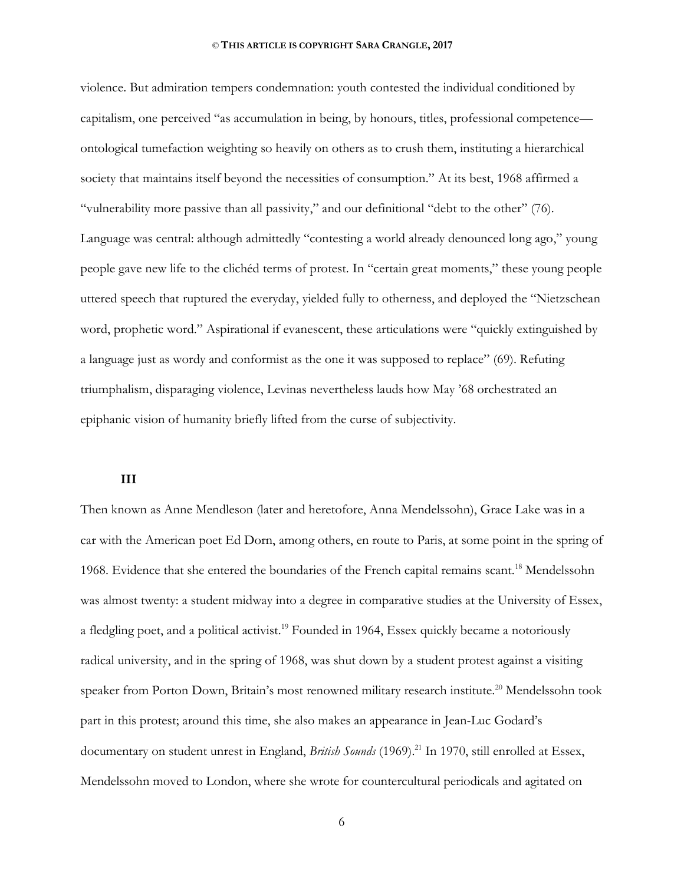violence. But admiration tempers condemnation: youth contested the individual conditioned by capitalism, one perceived "as accumulation in being, by honours, titles, professional competence ontological tumefaction weighting so heavily on others as to crush them, instituting a hierarchical society that maintains itself beyond the necessities of consumption." At its best, 1968 affirmed a "vulnerability more passive than all passivity," and our definitional "debt to the other" (76). Language was central: although admittedly "contesting a world already denounced long ago," young people gave new life to the clichéd terms of protest. In "certain great moments," these young people uttered speech that ruptured the everyday, yielded fully to otherness, and deployed the "Nietzschean word, prophetic word." Aspirational if evanescent, these articulations were "quickly extinguished by a language just as wordy and conformist as the one it was supposed to replace" (69). Refuting triumphalism, disparaging violence, Levinas nevertheless lauds how May '68 orchestrated an epiphanic vision of humanity briefly lifted from the curse of subjectivity.

# **III**

Then known as Anne Mendleson (later and heretofore, Anna Mendelssohn), Grace Lake was in a car with the American poet Ed Dorn, among others, en route to Paris, at some point in the spring of 1968. Evidence that she entered the boundaries of the French capital remains scant.<sup>18</sup> Mendelssohn was almost twenty: a student midway into a degree in comparative studies at the University of Essex, a fledgling poet, and a political activist.<sup>19</sup> Founded in 1964, Essex quickly became a notoriously radical university, and in the spring of 1968, was shut down by a student protest against a visiting speaker from Porton Down, Britain's most renowned military research institute.<sup>20</sup> Mendelssohn took part in this protest; around this time, she also makes an appearance in Jean-Luc Godard's documentary on student unrest in England, *British Sounds* (1969).<sup>21</sup> In 1970, still enrolled at Essex, Mendelssohn moved to London, where she wrote for countercultural periodicals and agitated on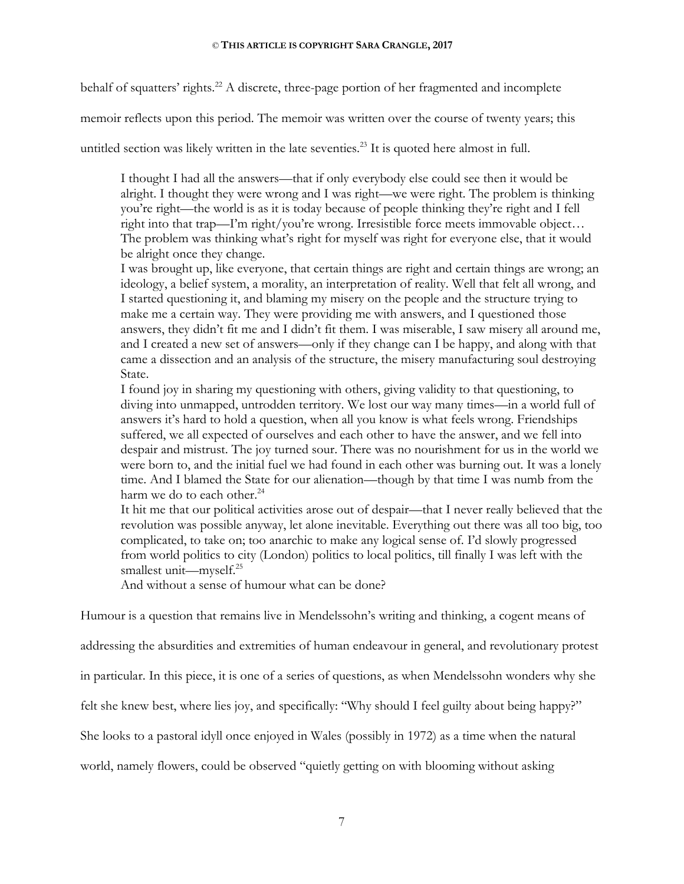behalf of squatters' rights.<sup>22</sup> A discrete, three-page portion of her fragmented and incomplete

memoir reflects upon this period. The memoir was written over the course of twenty years; this

untitled section was likely written in the late seventies.<sup>23</sup> It is quoted here almost in full.

I thought I had all the answers—that if only everybody else could see then it would be alright. I thought they were wrong and I was right—we were right. The problem is thinking you're right—the world is as it is today because of people thinking they're right and I fell right into that trap—I'm right/you're wrong. Irresistible force meets immovable object… The problem was thinking what's right for myself was right for everyone else, that it would be alright once they change.

I was brought up, like everyone, that certain things are right and certain things are wrong; an ideology, a belief system, a morality, an interpretation of reality. Well that felt all wrong, and I started questioning it, and blaming my misery on the people and the structure trying to make me a certain way. They were providing me with answers, and I questioned those answers, they didn't fit me and I didn't fit them. I was miserable, I saw misery all around me, and I created a new set of answers—only if they change can I be happy, and along with that came a dissection and an analysis of the structure, the misery manufacturing soul destroying State.

I found joy in sharing my questioning with others, giving validity to that questioning, to diving into unmapped, untrodden territory. We lost our way many times—in a world full of answers it's hard to hold a question, when all you know is what feels wrong. Friendships suffered, we all expected of ourselves and each other to have the answer, and we fell into despair and mistrust. The joy turned sour. There was no nourishment for us in the world we were born to, and the initial fuel we had found in each other was burning out. It was a lonely time. And I blamed the State for our alienation—though by that time I was numb from the harm we do to each other. $24$ 

It hit me that our political activities arose out of despair—that I never really believed that the revolution was possible anyway, let alone inevitable. Everything out there was all too big, too complicated, to take on; too anarchic to make any logical sense of. I'd slowly progressed from world politics to city (London) politics to local politics, till finally I was left with the smallest unit—myself.<sup>25</sup>

And without a sense of humour what can be done?

Humour is a question that remains live in Mendelssohn's writing and thinking, a cogent means of

addressing the absurdities and extremities of human endeavour in general, and revolutionary protest

in particular. In this piece, it is one of a series of questions, as when Mendelssohn wonders why she

felt she knew best, where lies joy, and specifically: "Why should I feel guilty about being happy?"

She looks to a pastoral idyll once enjoyed in Wales (possibly in 1972) as a time when the natural

world, namely flowers, could be observed "quietly getting on with blooming without asking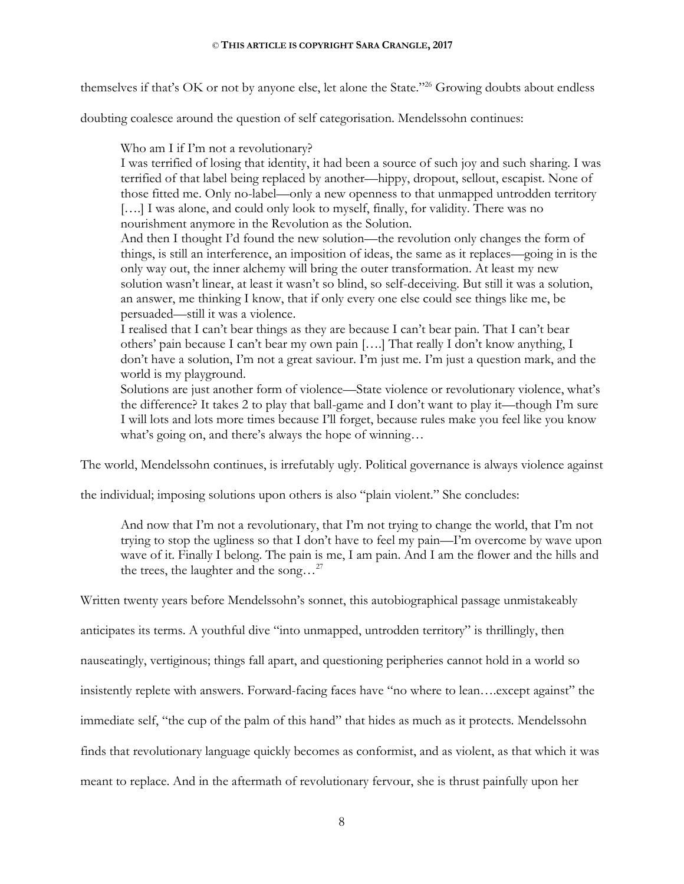themselves if that's OK or not by anyone else, let alone the State."<sup>26</sup> Growing doubts about endless

doubting coalesce around the question of self categorisation. Mendelssohn continues:

Who am I if I'm not a revolutionary?

I was terrified of losing that identity, it had been a source of such joy and such sharing. I was terrified of that label being replaced by another—hippy, dropout, sellout, escapist. None of those fitted me. Only no-label—only a new openness to that unmapped untrodden territory [....] I was alone, and could only look to myself, finally, for validity. There was no nourishment anymore in the Revolution as the Solution.

And then I thought I'd found the new solution—the revolution only changes the form of things, is still an interference, an imposition of ideas, the same as it replaces—going in is the only way out, the inner alchemy will bring the outer transformation. At least my new solution wasn't linear, at least it wasn't so blind, so self-deceiving. But still it was a solution, an answer, me thinking I know, that if only every one else could see things like me, be persuaded—still it was a violence.

I realised that I can't bear things as they are because I can't bear pain. That I can't bear others' pain because I can't bear my own pain [….] That really I don't know anything, I don't have a solution, I'm not a great saviour. I'm just me. I'm just a question mark, and the world is my playground.

Solutions are just another form of violence—State violence or revolutionary violence, what's the difference? It takes 2 to play that ball-game and I don't want to play it—though I'm sure I will lots and lots more times because I'll forget, because rules make you feel like you know what's going on, and there's always the hope of winning…

The world, Mendelssohn continues, is irrefutably ugly. Political governance is always violence against

the individual; imposing solutions upon others is also "plain violent." She concludes:

And now that I'm not a revolutionary, that I'm not trying to change the world, that I'm not trying to stop the ugliness so that I don't have to feel my pain—I'm overcome by wave upon wave of it. Finally I belong. The pain is me, I am pain. And I am the flower and the hills and the trees, the laughter and the song…<sup>27</sup>

Written twenty years before Mendelssohn's sonnet, this autobiographical passage unmistakeably

anticipates its terms. A youthful dive "into unmapped, untrodden territory" is thrillingly, then

nauseatingly, vertiginous; things fall apart, and questioning peripheries cannot hold in a world so

insistently replete with answers. Forward-facing faces have "no where to lean….except against" the

immediate self, "the cup of the palm of this hand" that hides as much as it protects. Mendelssohn

finds that revolutionary language quickly becomes as conformist, and as violent, as that which it was

meant to replace. And in the aftermath of revolutionary fervour, she is thrust painfully upon her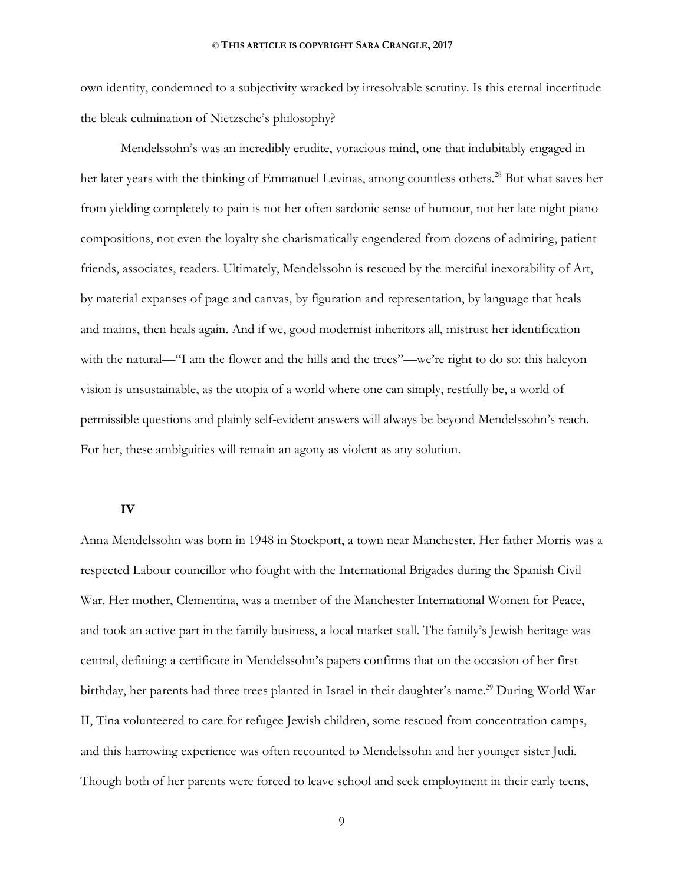own identity, condemned to a subjectivity wracked by irresolvable scrutiny. Is this eternal incertitude the bleak culmination of Nietzsche's philosophy?

Mendelssohn's was an incredibly erudite, voracious mind, one that indubitably engaged in her later years with the thinking of Emmanuel Levinas, among countless others. <sup>28</sup> But what saves her from yielding completely to pain is not her often sardonic sense of humour, not her late night piano compositions, not even the loyalty she charismatically engendered from dozens of admiring, patient friends, associates, readers. Ultimately, Mendelssohn is rescued by the merciful inexorability of Art, by material expanses of page and canvas, by figuration and representation, by language that heals and maims, then heals again. And if we, good modernist inheritors all, mistrust her identification with the natural—"I am the flower and the hills and the trees"—we're right to do so: this halcyon vision is unsustainable, as the utopia of a world where one can simply, restfully be, a world of permissible questions and plainly self-evident answers will always be beyond Mendelssohn's reach. For her, these ambiguities will remain an agony as violent as any solution.

#### **IV**

Anna Mendelssohn was born in 1948 in Stockport, a town near Manchester. Her father Morris was a respected Labour councillor who fought with the International Brigades during the Spanish Civil War. Her mother, Clementina, was a member of the Manchester International Women for Peace, and took an active part in the family business, a local market stall. The family's Jewish heritage was central, defining: a certificate in Mendelssohn's papers confirms that on the occasion of her first birthday, her parents had three trees planted in Israel in their daughter's name. <sup>29</sup> During World War II, Tina volunteered to care for refugee Jewish children, some rescued from concentration camps, and this harrowing experience was often recounted to Mendelssohn and her younger sister Judi. Though both of her parents were forced to leave school and seek employment in their early teens,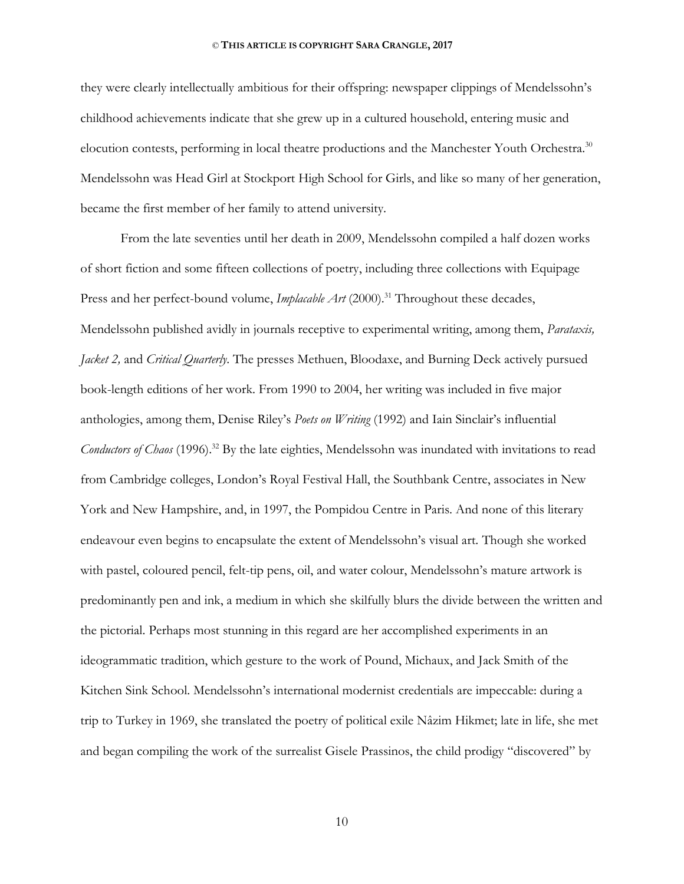they were clearly intellectually ambitious for their offspring: newspaper clippings of Mendelssohn's childhood achievements indicate that she grew up in a cultured household, entering music and elocution contests, performing in local theatre productions and the Manchester Youth Orchestra.<sup>30</sup> Mendelssohn was Head Girl at Stockport High School for Girls, and like so many of her generation, became the first member of her family to attend university.

From the late seventies until her death in 2009, Mendelssohn compiled a half dozen works of short fiction and some fifteen collections of poetry, including three collections with Equipage Press and her perfect-bound volume, *Implacable Art* (2000).<sup>31</sup> Throughout these decades, Mendelssohn published avidly in journals receptive to experimental writing, among them, *Parataxis, Jacket 2, and Critical Quarterly*. The presses Methuen, Bloodaxe, and Burning Deck actively pursued book-length editions of her work. From 1990 to 2004, her writing was included in five major anthologies, among them, Denise Riley's *Poets on Writing* (1992) and Iain Sinclair's influential *Conductors of Chaos* (1996). <sup>32</sup> By the late eighties, Mendelssohn was inundated with invitations to read from Cambridge colleges, London's Royal Festival Hall, the Southbank Centre, associates in New York and New Hampshire, and, in 1997, the Pompidou Centre in Paris. And none of this literary endeavour even begins to encapsulate the extent of Mendelssohn's visual art. Though she worked with pastel, coloured pencil, felt-tip pens, oil, and water colour, Mendelssohn's mature artwork is predominantly pen and ink, a medium in which she skilfully blurs the divide between the written and the pictorial. Perhaps most stunning in this regard are her accomplished experiments in an ideogrammatic tradition, which gesture to the work of Pound, Michaux, and Jack Smith of the Kitchen Sink School. Mendelssohn's international modernist credentials are impeccable: during a trip to Turkey in 1969, she translated the poetry of political exile Nâzim Hikmet; late in life, she met and began compiling the work of the surrealist Gisele Prassinos, the child prodigy "discovered" by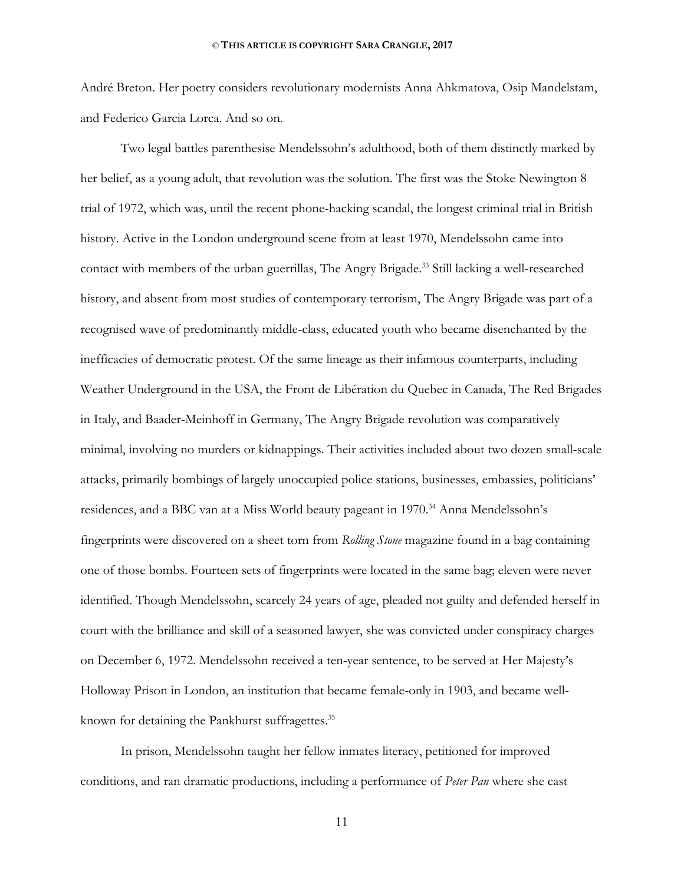André Breton. Her poetry considers revolutionary modernists Anna Ahkmatova, Osip Mandelstam, and Federico Garcia Lorca. And so on.

Two legal battles parenthesise Mendelssohn's adulthood, both of them distinctly marked by her belief, as a young adult, that revolution was the solution. The first was the Stoke Newington 8 trial of 1972, which was, until the recent phone-hacking scandal, the longest criminal trial in British history. Active in the London underground scene from at least 1970, Mendelssohn came into contact with members of the urban guerrillas, The Angry Brigade.<sup>33</sup> Still lacking a well-researched history, and absent from most studies of contemporary terrorism, The Angry Brigade was part of a recognised wave of predominantly middle-class, educated youth who became disenchanted by the inefficacies of democratic protest. Of the same lineage as their infamous counterparts, including Weather Underground in the USA, the Front de Libération du Quebec in Canada, The Red Brigades in Italy, and Baader-Meinhoff in Germany, The Angry Brigade revolution was comparatively minimal, involving no murders or kidnappings. Their activities included about two dozen small-scale attacks, primarily bombings of largely unoccupied police stations, businesses, embassies, politicians' residences, and a BBC van at a Miss World beauty pageant in 1970.<sup>34</sup> Anna Mendelssohn's fingerprints were discovered on a sheet torn from *Rolling Stone* magazine found in a bag containing one of those bombs. Fourteen sets of fingerprints were located in the same bag; eleven were never identified. Though Mendelssohn, scarcely 24 years of age, pleaded not guilty and defended herself in court with the brilliance and skill of a seasoned lawyer, she was convicted under conspiracy charges on December 6, 1972. Mendelssohn received a ten-year sentence, to be served at Her Majesty's Holloway Prison in London, an institution that became female-only in 1903, and became wellknown for detaining the Pankhurst suffragettes.<sup>35</sup>

In prison, Mendelssohn taught her fellow inmates literacy, petitioned for improved conditions, and ran dramatic productions, including a performance of *Peter Pan* where she cast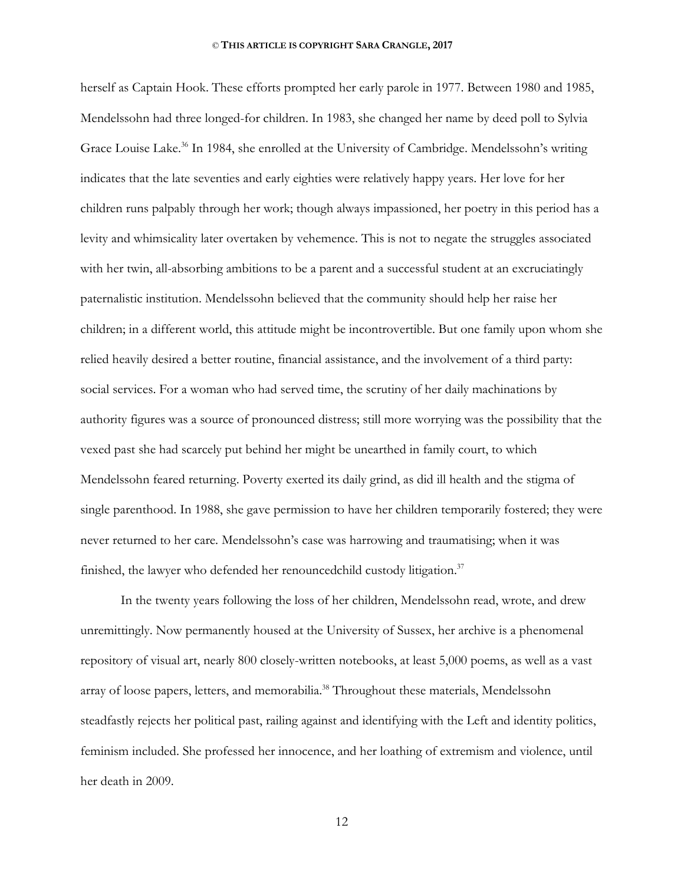herself as Captain Hook. These efforts prompted her early parole in 1977. Between 1980 and 1985, Mendelssohn had three longed-for children. In 1983, she changed her name by deed poll to Sylvia Grace Louise Lake.<sup>36</sup> In 1984, she enrolled at the University of Cambridge. Mendelssohn's writing indicates that the late seventies and early eighties were relatively happy years. Her love for her children runs palpably through her work; though always impassioned, her poetry in this period has a levity and whimsicality later overtaken by vehemence. This is not to negate the struggles associated with her twin, all-absorbing ambitions to be a parent and a successful student at an excruciatingly paternalistic institution. Mendelssohn believed that the community should help her raise her children; in a different world, this attitude might be incontrovertible. But one family upon whom she relied heavily desired a better routine, financial assistance, and the involvement of a third party: social services. For a woman who had served time, the scrutiny of her daily machinations by authority figures was a source of pronounced distress; still more worrying was the possibility that the vexed past she had scarcely put behind her might be unearthed in family court, to which Mendelssohn feared returning. Poverty exerted its daily grind, as did ill health and the stigma of single parenthood. In 1988, she gave permission to have her children temporarily fostered; they were never returned to her care. Mendelssohn's case was harrowing and traumatising; when it was finished, the lawyer who defended her renouncedchild custody litigation.<sup>37</sup>

In the twenty years following the loss of her children, Mendelssohn read, wrote, and drew unremittingly. Now permanently housed at the University of Sussex, her archive is a phenomenal repository of visual art, nearly 800 closely-written notebooks, at least 5,000 poems, as well as a vast array of loose papers, letters, and memorabilia.<sup>38</sup> Throughout these materials, Mendelssohn steadfastly rejects her political past, railing against and identifying with the Left and identity politics, feminism included. She professed her innocence, and her loathing of extremism and violence, until her death in 2009.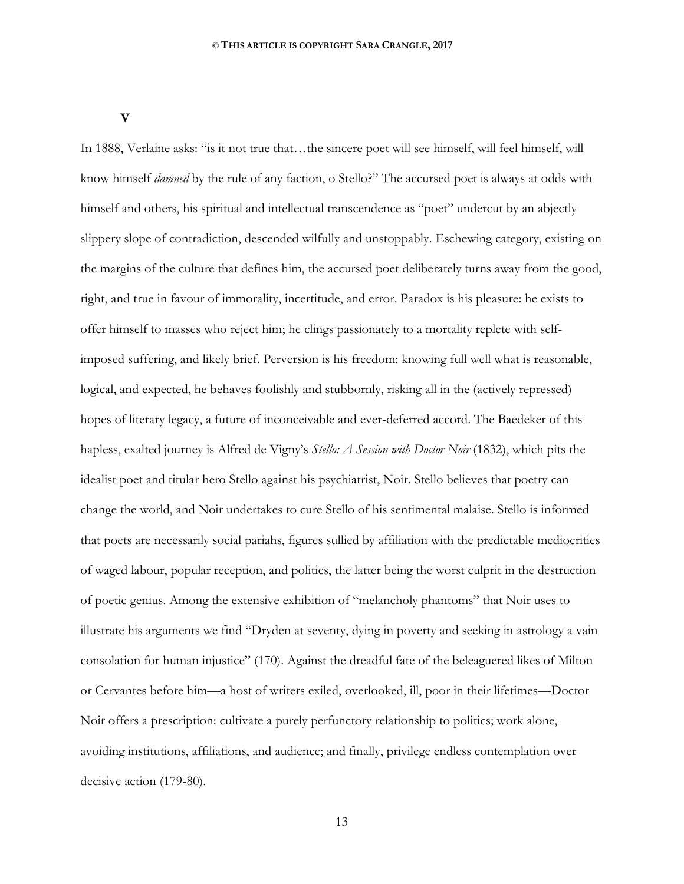**V**

In 1888, Verlaine asks: "is it not true that…the sincere poet will see himself, will feel himself, will know himself *damned* by the rule of any faction, o Stello?" The accursed poet is always at odds with himself and others, his spiritual and intellectual transcendence as "poet" undercut by an abjectly slippery slope of contradiction, descended wilfully and unstoppably. Eschewing category, existing on the margins of the culture that defines him, the accursed poet deliberately turns away from the good, right, and true in favour of immorality, incertitude, and error. Paradox is his pleasure: he exists to offer himself to masses who reject him; he clings passionately to a mortality replete with selfimposed suffering, and likely brief. Perversion is his freedom: knowing full well what is reasonable, logical, and expected, he behaves foolishly and stubbornly, risking all in the (actively repressed) hopes of literary legacy, a future of inconceivable and ever-deferred accord. The Baedeker of this hapless, exalted journey is Alfred de Vigny's *Stello: A Session with Doctor Noir* (1832), which pits the idealist poet and titular hero Stello against his psychiatrist, Noir. Stello believes that poetry can change the world, and Noir undertakes to cure Stello of his sentimental malaise. Stello is informed that poets are necessarily social pariahs, figures sullied by affiliation with the predictable mediocrities of waged labour, popular reception, and politics, the latter being the worst culprit in the destruction of poetic genius. Among the extensive exhibition of "melancholy phantoms" that Noir uses to illustrate his arguments we find "Dryden at seventy, dying in poverty and seeking in astrology a vain consolation for human injustice" (170). Against the dreadful fate of the beleaguered likes of Milton or Cervantes before him—a host of writers exiled, overlooked, ill, poor in their lifetimes—Doctor Noir offers a prescription: cultivate a purely perfunctory relationship to politics; work alone, avoiding institutions, affiliations, and audience; and finally, privilege endless contemplation over decisive action (179-80).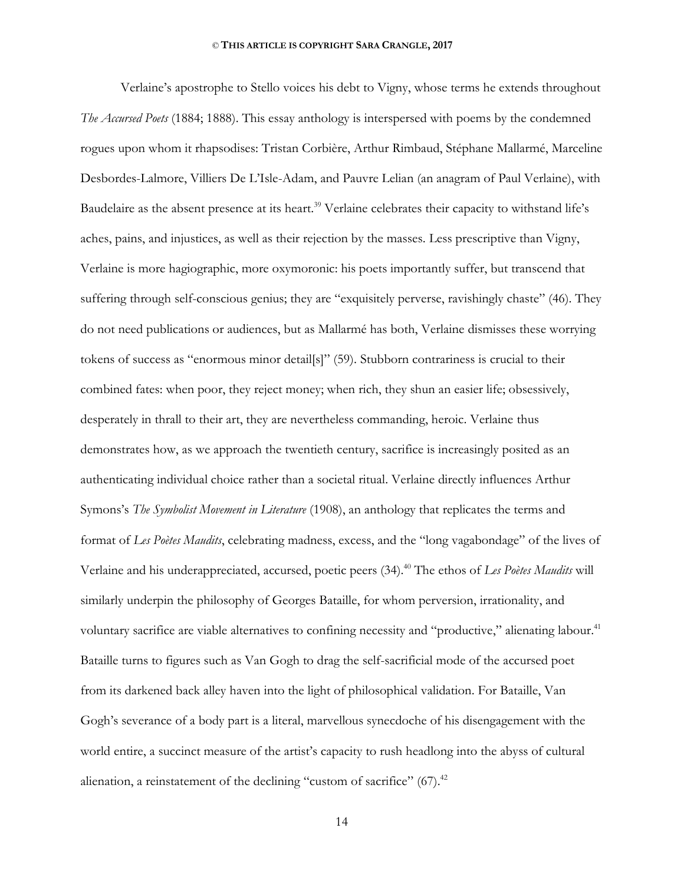Verlaine's apostrophe to Stello voices his debt to Vigny, whose terms he extends throughout *The Accursed Poets* (1884; 1888). This essay anthology is interspersed with poems by the condemned rogues upon whom it rhapsodises: Tristan Corbière, Arthur Rimbaud, Stéphane Mallarmé, Marceline Desbordes-Lalmore, Villiers De L'Isle-Adam, and Pauvre Lelian (an anagram of Paul Verlaine), with Baudelaire as the absent presence at its heart.<sup>39</sup> Verlaine celebrates their capacity to withstand life's aches, pains, and injustices, as well as their rejection by the masses. Less prescriptive than Vigny, Verlaine is more hagiographic, more oxymoronic: his poets importantly suffer, but transcend that suffering through self-conscious genius; they are "exquisitely perverse, ravishingly chaste" (46). They do not need publications or audiences, but as Mallarmé has both, Verlaine dismisses these worrying tokens of success as "enormous minor detail[s]" (59). Stubborn contrariness is crucial to their combined fates: when poor, they reject money; when rich, they shun an easier life; obsessively, desperately in thrall to their art, they are nevertheless commanding, heroic. Verlaine thus demonstrates how, as we approach the twentieth century, sacrifice is increasingly posited as an authenticating individual choice rather than a societal ritual. Verlaine directly influences Arthur Symons's *The Symbolist Movement in Literature* (1908), an anthology that replicates the terms and format of *Les Poètes Maudits*, celebrating madness, excess, and the "long vagabondage" of the lives of Verlaine and his underappreciated, accursed, poetic peers (34).<sup>40</sup> The ethos of *Les Poètes Maudits* will similarly underpin the philosophy of Georges Bataille, for whom perversion, irrationality, and voluntary sacrifice are viable alternatives to confining necessity and "productive," alienating labour.<sup>41</sup> Bataille turns to figures such as Van Gogh to drag the self-sacrificial mode of the accursed poet from its darkened back alley haven into the light of philosophical validation. For Bataille, Van Gogh's severance of a body part is a literal, marvellous synecdoche of his disengagement with the world entire, a succinct measure of the artist's capacity to rush headlong into the abyss of cultural alienation, a reinstatement of the declining "custom of sacrifice"  $(67)^{42}$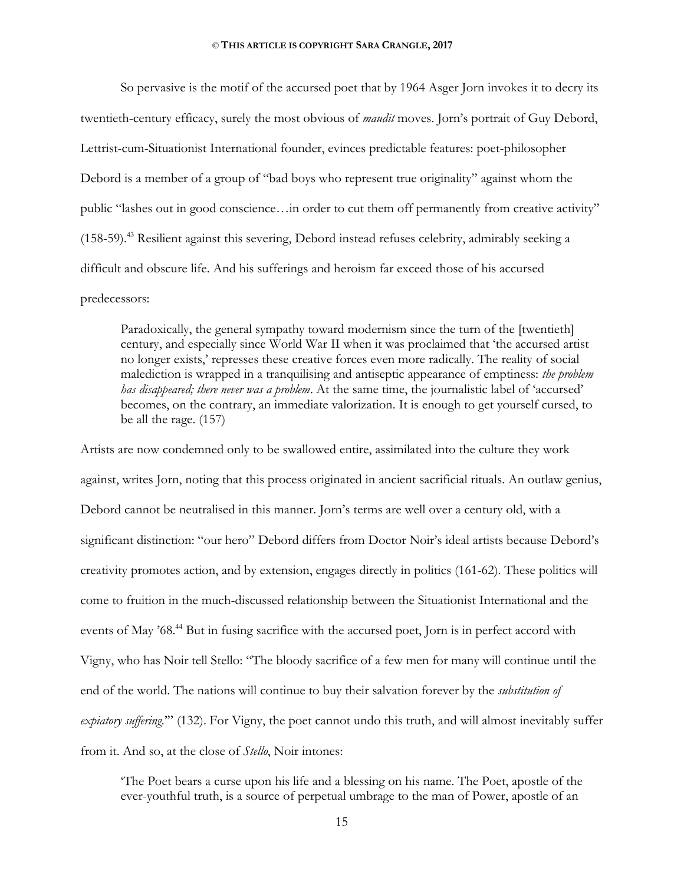So pervasive is the motif of the accursed poet that by 1964 Asger Jorn invokes it to decry its twentieth-century efficacy, surely the most obvious of *maudit* moves. Jorn's portrait of Guy Debord, Lettrist-cum-Situationist International founder, evinces predictable features: poet-philosopher Debord is a member of a group of "bad boys who represent true originality" against whom the public "lashes out in good conscience…in order to cut them off permanently from creative activity" (158-59).<sup>43</sup> Resilient against this severing, Debord instead refuses celebrity, admirably seeking a difficult and obscure life. And his sufferings and heroism far exceed those of his accursed predecessors:

Paradoxically, the general sympathy toward modernism since the turn of the [twentieth] century, and especially since World War II when it was proclaimed that 'the accursed artist no longer exists,' represses these creative forces even more radically. The reality of social malediction is wrapped in a tranquilising and antiseptic appearance of emptiness: *the problem has disappeared; there never was a problem*. At the same time, the journalistic label of 'accursed' becomes, on the contrary, an immediate valorization. It is enough to get yourself cursed, to be all the rage. (157)

Artists are now condemned only to be swallowed entire, assimilated into the culture they work against, writes Jorn, noting that this process originated in ancient sacrificial rituals. An outlaw genius, Debord cannot be neutralised in this manner. Jorn's terms are well over a century old, with a significant distinction: "our hero" Debord differs from Doctor Noir's ideal artists because Debord's creativity promotes action, and by extension, engages directly in politics (161-62). These politics will come to fruition in the much-discussed relationship between the Situationist International and the events of May '68.<sup>44</sup> But in fusing sacrifice with the accursed poet, Jorn is in perfect accord with Vigny, who has Noir tell Stello: "The bloody sacrifice of a few men for many will continue until the end of the world. The nations will continue to buy their salvation forever by the *substitution of expiatory suffering*.'" (132). For Vigny, the poet cannot undo this truth, and will almost inevitably suffer from it. And so, at the close of *Stello*, Noir intones:

'The Poet bears a curse upon his life and a blessing on his name. The Poet, apostle of the ever-youthful truth, is a source of perpetual umbrage to the man of Power, apostle of an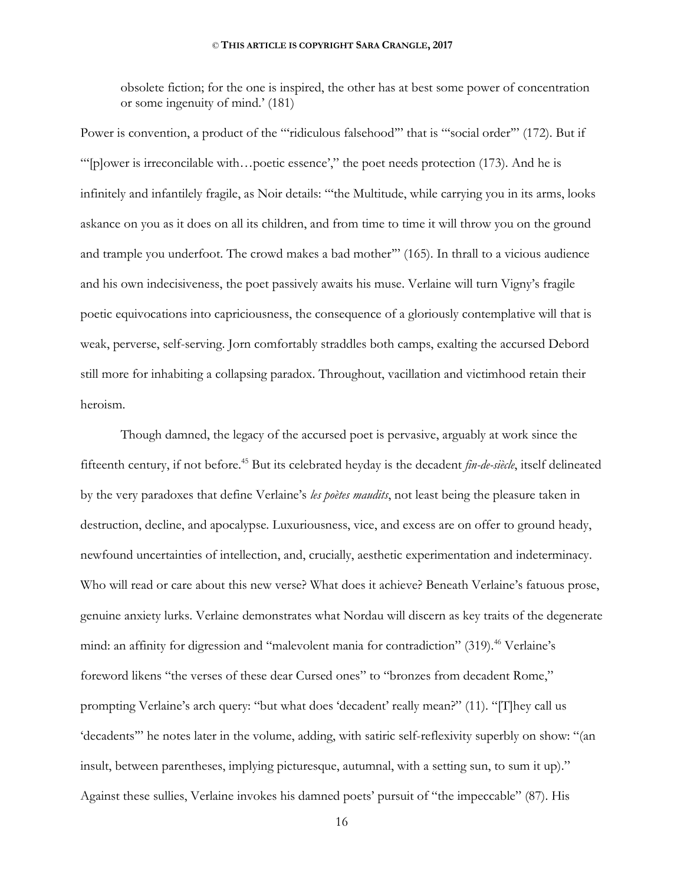obsolete fiction; for the one is inspired, the other has at best some power of concentration or some ingenuity of mind.' (181)

Power is convention, a product of the "'ridiculous falsehood" that is "'social order" (172). But if "'[p]ower is irreconcilable with…poetic essence'," the poet needs protection (173). And he is infinitely and infantilely fragile, as Noir details: "'the Multitude, while carrying you in its arms, looks askance on you as it does on all its children, and from time to time it will throw you on the ground and trample you underfoot. The crowd makes a bad mother'" (165). In thrall to a vicious audience and his own indecisiveness, the poet passively awaits his muse. Verlaine will turn Vigny's fragile poetic equivocations into capriciousness, the consequence of a gloriously contemplative will that is weak, perverse, self-serving. Jorn comfortably straddles both camps, exalting the accursed Debord still more for inhabiting a collapsing paradox. Throughout, vacillation and victimhood retain their heroism.

Though damned, the legacy of the accursed poet is pervasive, arguably at work since the fifteenth century, if not before. <sup>45</sup> But its celebrated heyday is the decadent *fin-de-siècle*, itself delineated by the very paradoxes that define Verlaine's *les poètes maudits*, not least being the pleasure taken in destruction, decline, and apocalypse. Luxuriousness, vice, and excess are on offer to ground heady, newfound uncertainties of intellection, and, crucially, aesthetic experimentation and indeterminacy. Who will read or care about this new verse? What does it achieve? Beneath Verlaine's fatuous prose, genuine anxiety lurks. Verlaine demonstrates what Nordau will discern as key traits of the degenerate mind: an affinity for digression and "malevolent mania for contradiction" (319).<sup>46</sup> Verlaine's foreword likens "the verses of these dear Cursed ones" to "bronzes from decadent Rome," prompting Verlaine's arch query: "but what does 'decadent' really mean?" (11). "[T]hey call us 'decadents'" he notes later in the volume, adding, with satiric self-reflexivity superbly on show: "(an insult, between parentheses, implying picturesque, autumnal, with a setting sun, to sum it up)." Against these sullies, Verlaine invokes his damned poets' pursuit of "the impeccable" (87). His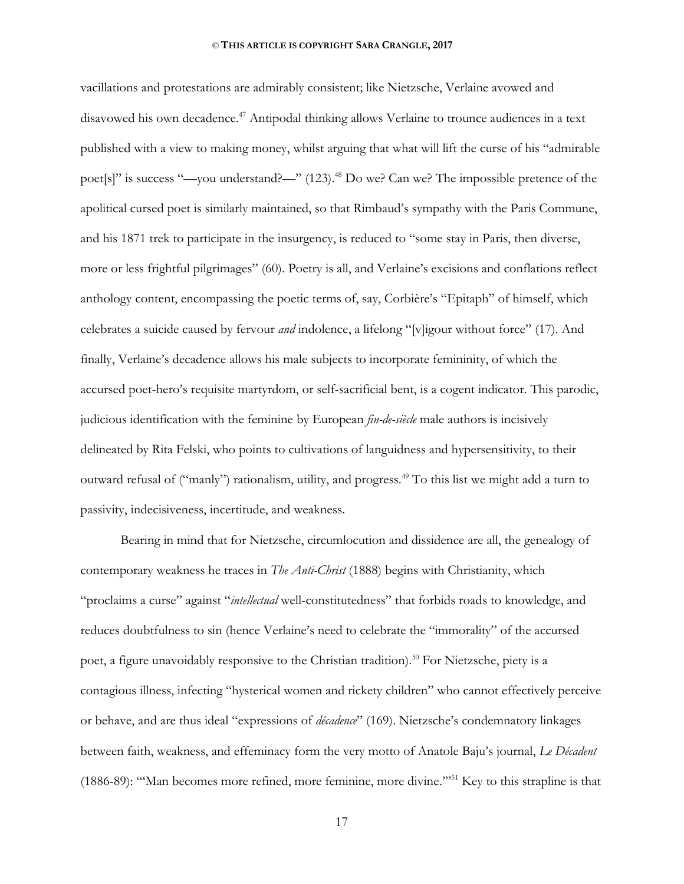vacillations and protestations are admirably consistent; like Nietzsche, Verlaine avowed and disavowed his own decadence.<sup>47</sup> Antipodal thinking allows Verlaine to trounce audiences in a text published with a view to making money, whilst arguing that what will lift the curse of his "admirable poet[s]" is success "—you understand?—" (123).<sup>48</sup> Do we? Can we? The impossible pretence of the apolitical cursed poet is similarly maintained, so that Rimbaud's sympathy with the Paris Commune, and his 1871 trek to participate in the insurgency, is reduced to "some stay in Paris, then diverse, more or less frightful pilgrimages" (60). Poetry is all, and Verlaine's excisions and conflations reflect anthology content, encompassing the poetic terms of, say, Corbière's "Epitaph" of himself, which celebrates a suicide caused by fervour *and* indolence, a lifelong "[v]igour without force" (17). And finally, Verlaine's decadence allows his male subjects to incorporate femininity, of which the accursed poet-hero's requisite martyrdom, or self-sacrificial bent, is a cogent indicator. This parodic, judicious identification with the feminine by European *fin-de-siècle* male authors is incisively delineated by Rita Felski, who points to cultivations of languidness and hypersensitivity, to their outward refusal of ("manly") rationalism, utility, and progress.<sup>49</sup> To this list we might add a turn to passivity, indecisiveness, incertitude, and weakness.

Bearing in mind that for Nietzsche, circumlocution and dissidence are all, the genealogy of contemporary weakness he traces in *The Anti-Christ* (1888) begins with Christianity, which "proclaims a curse" against "*intellectual* well-constitutedness" that forbids roads to knowledge, and reduces doubtfulness to sin (hence Verlaine's need to celebrate the "immorality" of the accursed poet, a figure unavoidably responsive to the Christian tradition).<sup>50</sup> For Nietzsche, piety is a contagious illness, infecting "hysterical women and rickety children" who cannot effectively perceive or behave, and are thus ideal "expressions of *décadence*" (169). Nietzsche's condemnatory linkages between faith, weakness, and effeminacy form the very motto of Anatole Baju's journal, *Le Décadent*  (1886-89): "'Man becomes more refined, more feminine, more divine.'" <sup>51</sup> Key to this strapline is that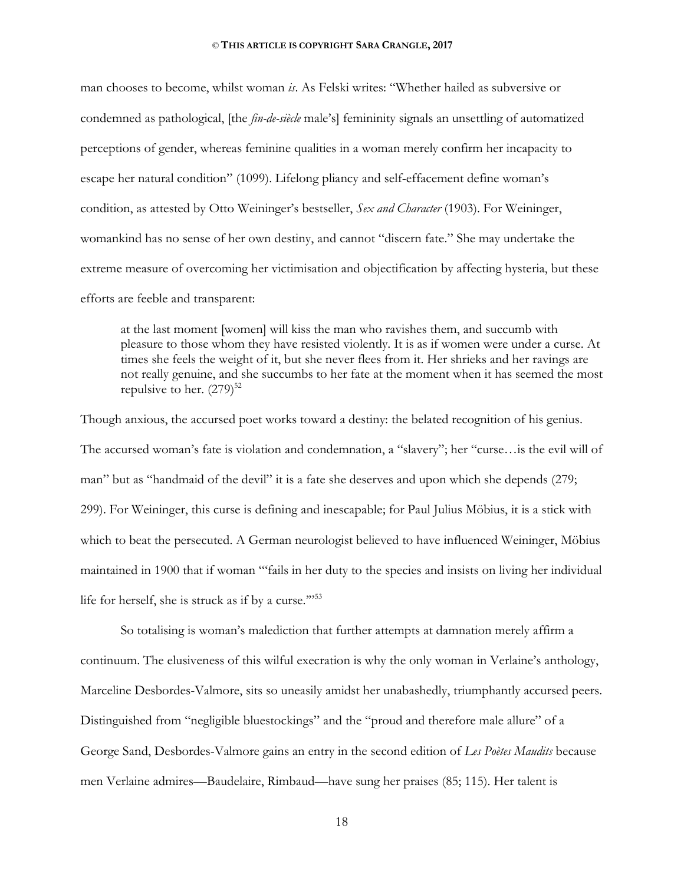man chooses to become, whilst woman *is*. As Felski writes: "Whether hailed as subversive or condemned as pathological, [the *fin-de-siècle* male's] femininity signals an unsettling of automatized perceptions of gender, whereas feminine qualities in a woman merely confirm her incapacity to escape her natural condition" (1099). Lifelong pliancy and self-effacement define woman's condition, as attested by Otto Weininger's bestseller, *Sex and Character* (1903). For Weininger, womankind has no sense of her own destiny, and cannot "discern fate." She may undertake the extreme measure of overcoming her victimisation and objectification by affecting hysteria, but these efforts are feeble and transparent:

at the last moment [women] will kiss the man who ravishes them, and succumb with pleasure to those whom they have resisted violently. It is as if women were under a curse. At times she feels the weight of it, but she never flees from it. Her shrieks and her ravings are not really genuine, and she succumbs to her fate at the moment when it has seemed the most repulsive to her.  $(279)^{52}$ 

Though anxious, the accursed poet works toward a destiny: the belated recognition of his genius. The accursed woman's fate is violation and condemnation, a "slavery"; her "curse…is the evil will of man" but as "handmaid of the devil" it is a fate she deserves and upon which she depends (279; 299). For Weininger, this curse is defining and inescapable; for Paul Julius Möbius, it is a stick with which to beat the persecuted. A German neurologist believed to have influenced Weininger, Möbius maintained in 1900 that if woman "'fails in her duty to the species and insists on living her individual life for herself, she is struck as if by a curse."<sup>53</sup>

So totalising is woman's malediction that further attempts at damnation merely affirm a continuum. The elusiveness of this wilful execration is why the only woman in Verlaine's anthology, Marceline Desbordes-Valmore, sits so uneasily amidst her unabashedly, triumphantly accursed peers. Distinguished from "negligible bluestockings" and the "proud and therefore male allure" of a George Sand, Desbordes-Valmore gains an entry in the second edition of *Les Poètes Maudits* because men Verlaine admires—Baudelaire, Rimbaud—have sung her praises (85; 115). Her talent is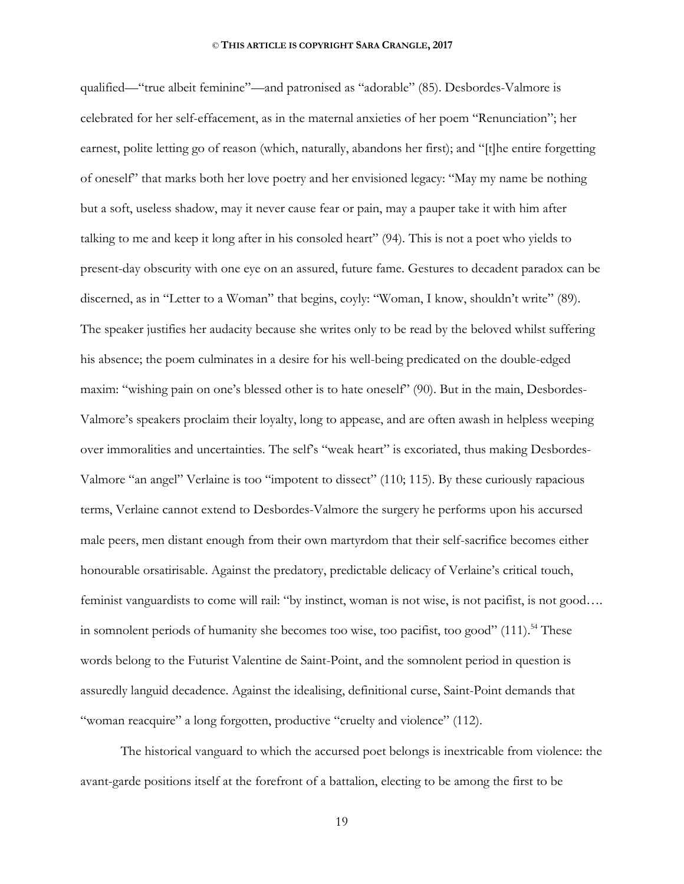qualified—"true albeit feminine"—and patronised as "adorable" (85). Desbordes-Valmore is celebrated for her self-effacement, as in the maternal anxieties of her poem "Renunciation"; her earnest, polite letting go of reason (which, naturally, abandons her first); and "[t]he entire forgetting of oneself" that marks both her love poetry and her envisioned legacy: "May my name be nothing but a soft, useless shadow, may it never cause fear or pain, may a pauper take it with him after talking to me and keep it long after in his consoled heart" (94). This is not a poet who yields to present-day obscurity with one eye on an assured, future fame. Gestures to decadent paradox can be discerned, as in "Letter to a Woman" that begins, coyly: "Woman, I know, shouldn't write" (89). The speaker justifies her audacity because she writes only to be read by the beloved whilst suffering his absence; the poem culminates in a desire for his well-being predicated on the double-edged maxim: "wishing pain on one's blessed other is to hate oneself" (90). But in the main, Desbordes-Valmore's speakers proclaim their loyalty, long to appease, and are often awash in helpless weeping over immoralities and uncertainties. The self's "weak heart" is excoriated, thus making Desbordes-Valmore "an angel" Verlaine is too "impotent to dissect" (110; 115). By these curiously rapacious terms, Verlaine cannot extend to Desbordes-Valmore the surgery he performs upon his accursed male peers, men distant enough from their own martyrdom that their self-sacrifice becomes either honourable orsatirisable. Against the predatory, predictable delicacy of Verlaine's critical touch, feminist vanguardists to come will rail: "by instinct, woman is not wise, is not pacifist, is not good…. in somnolent periods of humanity she becomes too wise, too pacifist, too good"  $(111)$ .<sup>54</sup> These words belong to the Futurist Valentine de Saint-Point, and the somnolent period in question is assuredly languid decadence. Against the idealising, definitional curse, Saint-Point demands that "woman reacquire" a long forgotten, productive "cruelty and violence" (112).

The historical vanguard to which the accursed poet belongs is inextricable from violence: the avant-garde positions itself at the forefront of a battalion, electing to be among the first to be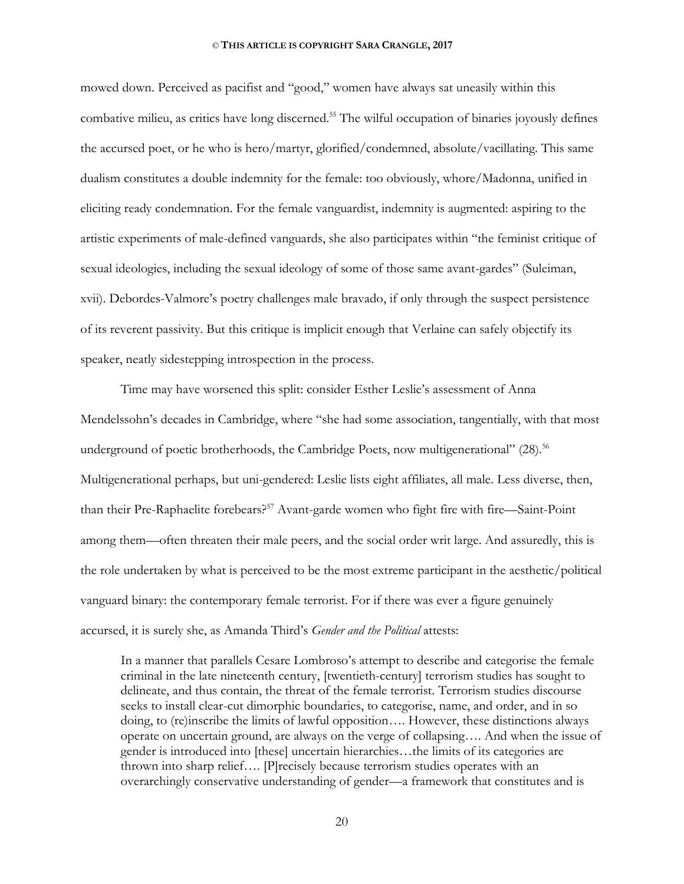mowed down. Perceived as pacifist and "good," women have always sat uneasily within this combative milieu, as critics have long discerned.<sup>55</sup> The wilful occupation of binaries joyously defines the accursed poet, or he who is hero/martyr, glorified/condemned, absolute/vacillating. This same dualism constitutes a double indemnity for the female: too obviously, whore/Madonna, unified in eliciting ready condemnation. For the female vanguardist, indemnity is augmented: aspiring to the artistic experiments of male-defined vanguards, she also participates within "the feminist critique of sexual ideologies, including the sexual ideology of some of those same avant-gardes" (Suleiman, xvii). Debordes-Valmore's poetry challenges male bravado, if only through the suspect persistence of its reverent passivity. But this critique is implicit enough that Verlaine can safely objectify its speaker, neatly sidestepping introspection in the process.

Time may have worsened this split: consider Esther Leslie's assessment of Anna Mendelssohn's decades in Cambridge, where "she had some association, tangentially, with that most underground of poetic brotherhoods, the Cambridge Poets, now multigenerational"  $(28)^{56}$ Multigenerational perhaps, but uni-gendered: Leslie lists eight affiliates, all male. Less diverse, then, than their Pre-Raphaelite forebears? <sup>57</sup> Avant-garde women who fight fire with fire—Saint-Point among them—often threaten their male peers, and the social order writ large. And assuredly, this is the role undertaken by what is perceived to be the most extreme participant in the aesthetic/political vanguard binary: the contemporary female terrorist. For if there was ever a figure genuinely accursed, it is surely she, as Amanda Third's *Gender and the Political* attests:

In a manner that parallels Cesare Lombroso's attempt to describe and categorise the female criminal in the late nineteenth century, [twentieth-century] terrorism studies has sought to delineate, and thus contain, the threat of the female terrorist. Terrorism studies discourse seeks to install clear-cut dimorphic boundaries, to categorise, name, and order, and in so doing, to (re)inscribe the limits of lawful opposition…. However, these distinctions always operate on uncertain ground, are always on the verge of collapsing…. And when the issue of gender is introduced into [these] uncertain hierarchies…the limits of its categories are thrown into sharp relief…. [P]recisely because terrorism studies operates with an overarchingly conservative understanding of gender—a framework that constitutes and is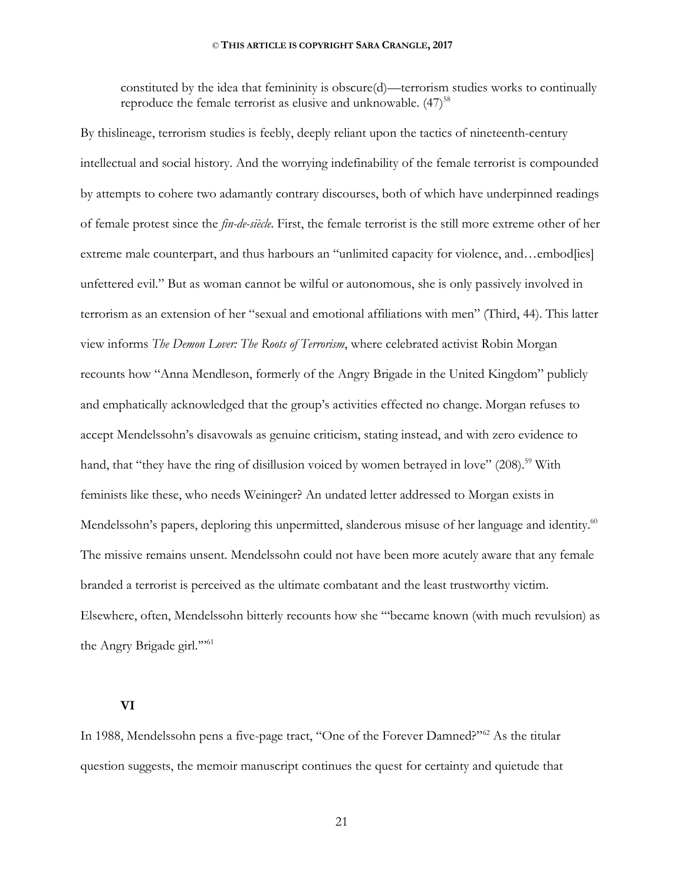constituted by the idea that femininity is obscure(d)—terrorism studies works to continually reproduce the female terrorist as elusive and unknowable.  $(47)^{58}$ 

By thislineage, terrorism studies is feebly, deeply reliant upon the tactics of nineteenth-century intellectual and social history. And the worrying indefinability of the female terrorist is compounded by attempts to cohere two adamantly contrary discourses, both of which have underpinned readings of female protest since the *fin-de-siècle*. First, the female terrorist is the still more extreme other of her extreme male counterpart, and thus harbours an "unlimited capacity for violence, and…embod[ies] unfettered evil." But as woman cannot be wilful or autonomous, she is only passively involved in terrorism as an extension of her "sexual and emotional affiliations with men" (Third, 44). This latter view informs *The Demon Lover: The Roots of Terrorism*, where celebrated activist Robin Morgan recounts how "Anna Mendleson, formerly of the Angry Brigade in the United Kingdom" publicly and emphatically acknowledged that the group's activities effected no change. Morgan refuses to accept Mendelssohn's disavowals as genuine criticism, stating instead, and with zero evidence to hand, that "they have the ring of disillusion voiced by women betrayed in love" (208).<sup>59</sup> With feminists like these, who needs Weininger? An undated letter addressed to Morgan exists in Mendelssohn's papers, deploring this unpermitted, slanderous misuse of her language and identity.<sup>60</sup> The missive remains unsent. Mendelssohn could not have been more acutely aware that any female branded a terrorist is perceived as the ultimate combatant and the least trustworthy victim. Elsewhere, often, Mendelssohn bitterly recounts how she "'became known (with much revulsion) as the Angry Brigade girl."<sup>561</sup>

# **VI**

In 1988, Mendelssohn pens a five-page tract, "One of the Forever Damned?"<sup>62</sup> As the titular question suggests, the memoir manuscript continues the quest for certainty and quietude that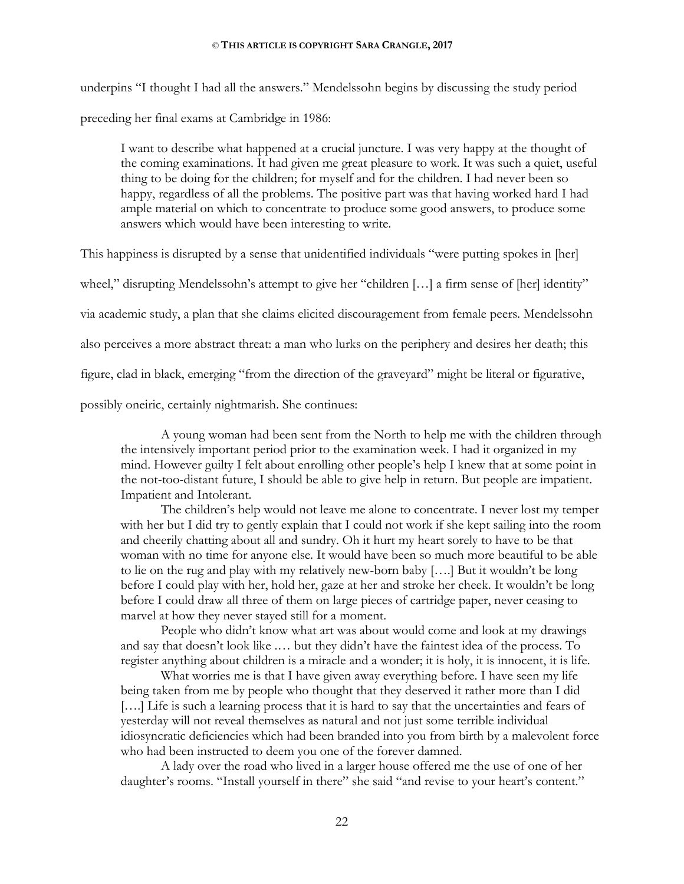underpins "I thought I had all the answers." Mendelssohn begins by discussing the study period preceding her final exams at Cambridge in 1986:

I want to describe what happened at a crucial juncture. I was very happy at the thought of the coming examinations. It had given me great pleasure to work. It was such a quiet, useful thing to be doing for the children; for myself and for the children. I had never been so happy, regardless of all the problems. The positive part was that having worked hard I had ample material on which to concentrate to produce some good answers, to produce some answers which would have been interesting to write.

This happiness is disrupted by a sense that unidentified individuals "were putting spokes in [her]

wheel," disrupting Mendelssohn's attempt to give her "children [...] a firm sense of [her] identity"

via academic study, a plan that she claims elicited discouragement from female peers. Mendelssohn

also perceives a more abstract threat: a man who lurks on the periphery and desires her death; this

figure, clad in black, emerging "from the direction of the graveyard" might be literal or figurative,

possibly oneiric, certainly nightmarish. She continues:

A young woman had been sent from the North to help me with the children through the intensively important period prior to the examination week. I had it organized in my mind. However guilty I felt about enrolling other people's help I knew that at some point in the not-too-distant future, I should be able to give help in return. But people are impatient. Impatient and Intolerant.

The children's help would not leave me alone to concentrate. I never lost my temper with her but I did try to gently explain that I could not work if she kept sailing into the room and cheerily chatting about all and sundry. Oh it hurt my heart sorely to have to be that woman with no time for anyone else. It would have been so much more beautiful to be able to lie on the rug and play with my relatively new-born baby [….] But it wouldn't be long before I could play with her, hold her, gaze at her and stroke her cheek. It wouldn't be long before I could draw all three of them on large pieces of cartridge paper, never ceasing to marvel at how they never stayed still for a moment.

People who didn't know what art was about would come and look at my drawings and say that doesn't look like .… but they didn't have the faintest idea of the process. To register anything about children is a miracle and a wonder; it is holy, it is innocent, it is life.

What worries me is that I have given away everything before. I have seen my life being taken from me by people who thought that they deserved it rather more than I did [....] Life is such a learning process that it is hard to say that the uncertainties and fears of yesterday will not reveal themselves as natural and not just some terrible individual idiosyncratic deficiencies which had been branded into you from birth by a malevolent force who had been instructed to deem you one of the forever damned.

A lady over the road who lived in a larger house offered me the use of one of her daughter's rooms. "Install yourself in there" she said "and revise to your heart's content."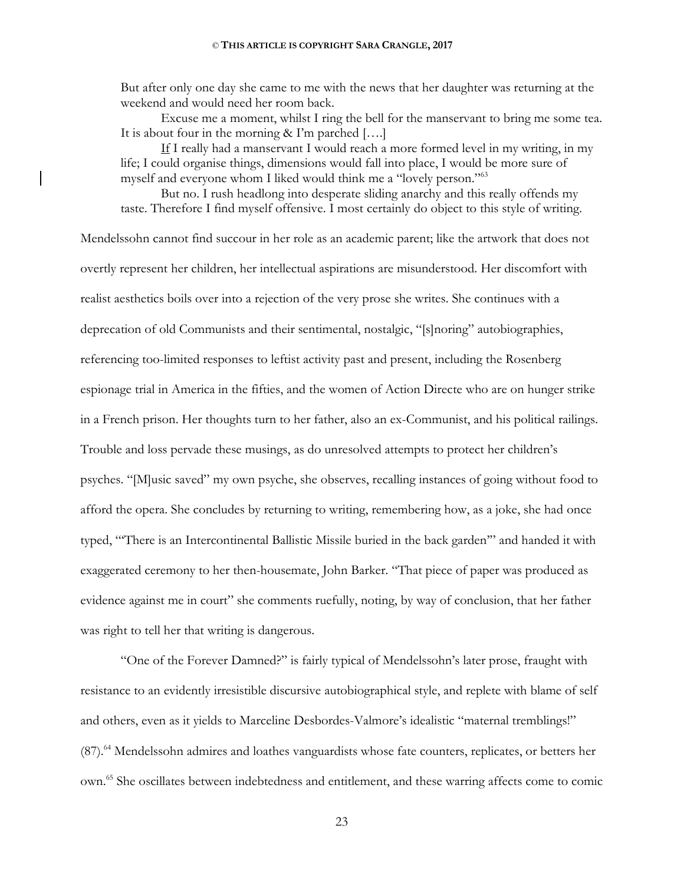But after only one day she came to me with the news that her daughter was returning at the weekend and would need her room back.

Excuse me a moment, whilst I ring the bell for the manservant to bring me some tea. It is about four in the morning & I'm parched [….]

If I really had a manservant I would reach a more formed level in my writing, in my life; I could organise things, dimensions would fall into place, I would be more sure of myself and everyone whom I liked would think me a "lovely person."<sup>63</sup>

But no. I rush headlong into desperate sliding anarchy and this really offends my taste. Therefore I find myself offensive. I most certainly do object to this style of writing.

Mendelssohn cannot find succour in her role as an academic parent; like the artwork that does not overtly represent her children, her intellectual aspirations are misunderstood. Her discomfort with realist aesthetics boils over into a rejection of the very prose she writes. She continues with a deprecation of old Communists and their sentimental, nostalgic, "[s]noring" autobiographies, referencing too-limited responses to leftist activity past and present, including the Rosenberg espionage trial in America in the fifties, and the women of Action Directe who are on hunger strike in a French prison. Her thoughts turn to her father, also an ex-Communist, and his political railings. Trouble and loss pervade these musings, as do unresolved attempts to protect her children's psyches. "[M]usic saved" my own psyche, she observes, recalling instances of going without food to afford the opera. She concludes by returning to writing, remembering how, as a joke, she had once typed, "'There is an Intercontinental Ballistic Missile buried in the back garden'" and handed it with exaggerated ceremony to her then-housemate, John Barker. "That piece of paper was produced as evidence against me in court" she comments ruefully, noting, by way of conclusion, that her father was right to tell her that writing is dangerous.

"One of the Forever Damned?" is fairly typical of Mendelssohn's later prose, fraught with resistance to an evidently irresistible discursive autobiographical style, and replete with blame of self and others, even as it yields to Marceline Desbordes-Valmore's idealistic "maternal tremblings!" (87). <sup>64</sup> Mendelssohn admires and loathes vanguardists whose fate counters, replicates, or betters her own. <sup>65</sup> She oscillates between indebtedness and entitlement, and these warring affects come to comic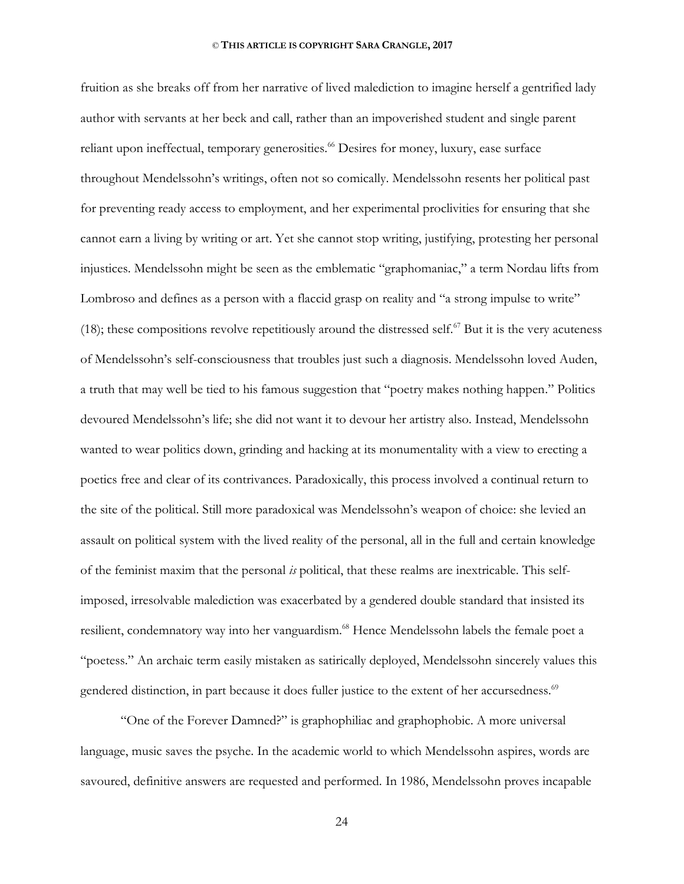fruition as she breaks off from her narrative of lived malediction to imagine herself a gentrified lady author with servants at her beck and call, rather than an impoverished student and single parent reliant upon ineffectual, temporary generosities.<sup>66</sup> Desires for money, luxury, ease surface throughout Mendelssohn's writings, often not so comically. Mendelssohn resents her political past for preventing ready access to employment, and her experimental proclivities for ensuring that she cannot earn a living by writing or art. Yet she cannot stop writing, justifying, protesting her personal injustices. Mendelssohn might be seen as the emblematic "graphomaniac," a term Nordau lifts from Lombroso and defines as a person with a flaccid grasp on reality and "a strong impulse to write" (18); these compositions revolve repetitiously around the distressed self. $^{67}$  But it is the very acuteness of Mendelssohn's self-consciousness that troubles just such a diagnosis. Mendelssohn loved Auden, a truth that may well be tied to his famous suggestion that "poetry makes nothing happen." Politics devoured Mendelssohn's life; she did not want it to devour her artistry also. Instead, Mendelssohn wanted to wear politics down, grinding and hacking at its monumentality with a view to erecting a poetics free and clear of its contrivances. Paradoxically, this process involved a continual return to the site of the political. Still more paradoxical was Mendelssohn's weapon of choice: she levied an assault on political system with the lived reality of the personal, all in the full and certain knowledge of the feminist maxim that the personal *is* political, that these realms are inextricable. This selfimposed, irresolvable malediction was exacerbated by a gendered double standard that insisted its resilient, condemnatory way into her vanguardism.<sup>68</sup> Hence Mendelssohn labels the female poet a "poetess." An archaic term easily mistaken as satirically deployed, Mendelssohn sincerely values this gendered distinction, in part because it does fuller justice to the extent of her accursedness.<sup>69</sup>

"One of the Forever Damned?" is graphophiliac and graphophobic. A more universal language, music saves the psyche. In the academic world to which Mendelssohn aspires, words are savoured, definitive answers are requested and performed. In 1986, Mendelssohn proves incapable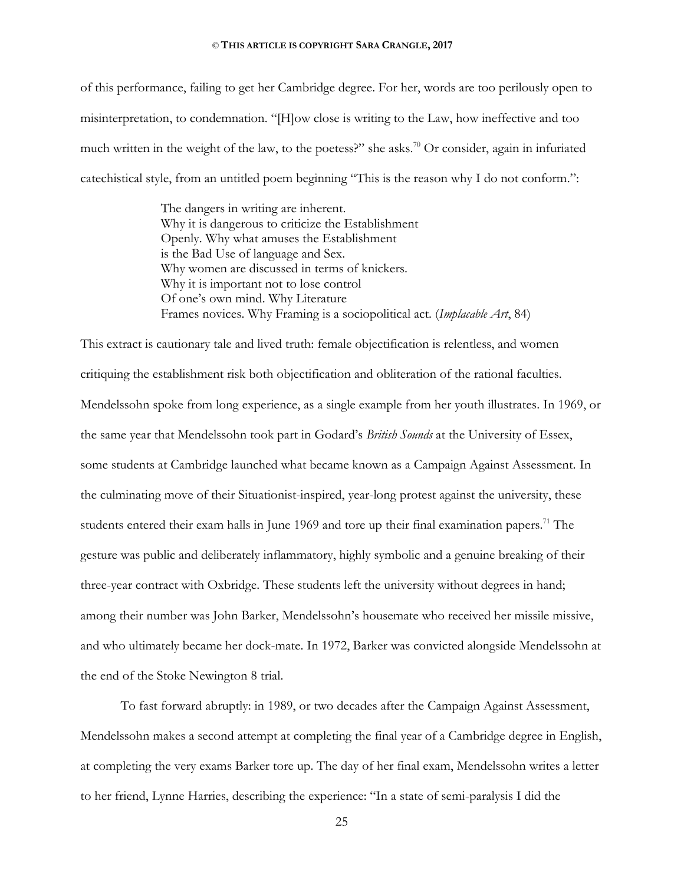of this performance, failing to get her Cambridge degree. For her, words are too perilously open to misinterpretation, to condemnation. "[H]ow close is writing to the Law, how ineffective and too much written in the weight of the law, to the poetess?" she asks.<sup>70</sup> Or consider, again in infuriated catechistical style, from an untitled poem beginning "This is the reason why I do not conform.":

> The dangers in writing are inherent. Why it is dangerous to criticize the Establishment Openly. Why what amuses the Establishment is the Bad Use of language and Sex. Why women are discussed in terms of knickers. Why it is important not to lose control Of one's own mind. Why Literature Frames novices. Why Framing is a sociopolitical act. (*Implacable Art*, 84)

This extract is cautionary tale and lived truth: female objectification is relentless, and women critiquing the establishment risk both objectification and obliteration of the rational faculties. Mendelssohn spoke from long experience, as a single example from her youth illustrates. In 1969, or the same year that Mendelssohn took part in Godard's *British Sounds* at the University of Essex, some students at Cambridge launched what became known as a Campaign Against Assessment. In the culminating move of their Situationist-inspired, year-long protest against the university, these students entered their exam halls in June 1969 and tore up their final examination papers.<sup>71</sup> The gesture was public and deliberately inflammatory, highly symbolic and a genuine breaking of their three-year contract with Oxbridge. These students left the university without degrees in hand; among their number was John Barker, Mendelssohn's housemate who received her missile missive, and who ultimately became her dock-mate. In 1972, Barker was convicted alongside Mendelssohn at the end of the Stoke Newington 8 trial.

To fast forward abruptly: in 1989, or two decades after the Campaign Against Assessment, Mendelssohn makes a second attempt at completing the final year of a Cambridge degree in English, at completing the very exams Barker tore up. The day of her final exam, Mendelssohn writes a letter to her friend, Lynne Harries, describing the experience: "In a state of semi-paralysis I did the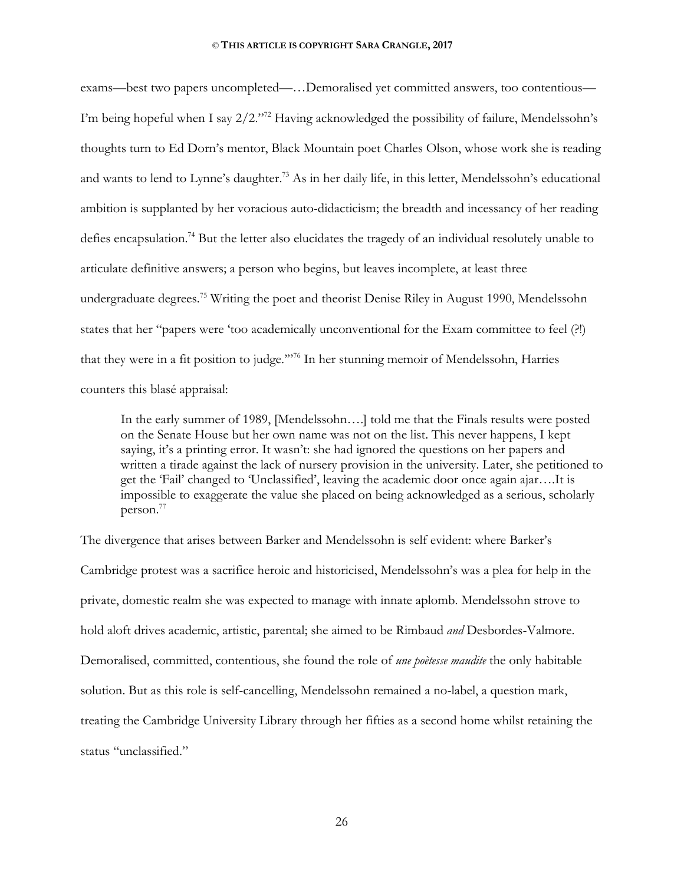exams—best two papers uncompleted—…Demoralised yet committed answers, too contentious— I'm being hopeful when I say  $2/2$ ."<sup>72</sup> Having acknowledged the possibility of failure, Mendelssohn's thoughts turn to Ed Dorn's mentor, Black Mountain poet Charles Olson, whose work she is reading and wants to lend to Lynne's daughter.<sup>73</sup> As in her daily life, in this letter, Mendelssohn's educational ambition is supplanted by her voracious auto-didacticism; the breadth and incessancy of her reading defies encapsulation.<sup>74</sup> But the letter also elucidates the tragedy of an individual resolutely unable to articulate definitive answers; a person who begins, but leaves incomplete, at least three undergraduate degrees.<sup>75</sup> Writing the poet and theorist Denise Riley in August 1990, Mendelssohn states that her "papers were 'too academically unconventional for the Exam committee to feel (?!) that they were in a fit position to judge.'"<sup>76</sup> In her stunning memoir of Mendelssohn, Harries counters this blasé appraisal:

In the early summer of 1989, [Mendelssohn….] told me that the Finals results were posted on the Senate House but her own name was not on the list. This never happens, I kept saying, it's a printing error. It wasn't: she had ignored the questions on her papers and written a tirade against the lack of nursery provision in the university. Later, she petitioned to get the 'Fail' changed to 'Unclassified', leaving the academic door once again ajar….It is impossible to exaggerate the value she placed on being acknowledged as a serious, scholarly person.<sup>77</sup>

The divergence that arises between Barker and Mendelssohn is self evident: where Barker's Cambridge protest was a sacrifice heroic and historicised, Mendelssohn's was a plea for help in the private, domestic realm she was expected to manage with innate aplomb. Mendelssohn strove to hold aloft drives academic, artistic, parental; she aimed to be Rimbaud *and* Desbordes-Valmore. Demoralised, committed, contentious, she found the role of *une poètesse maudite* the only habitable solution. But as this role is self-cancelling, Mendelssohn remained a no-label, a question mark, treating the Cambridge University Library through her fifties as a second home whilst retaining the status "unclassified."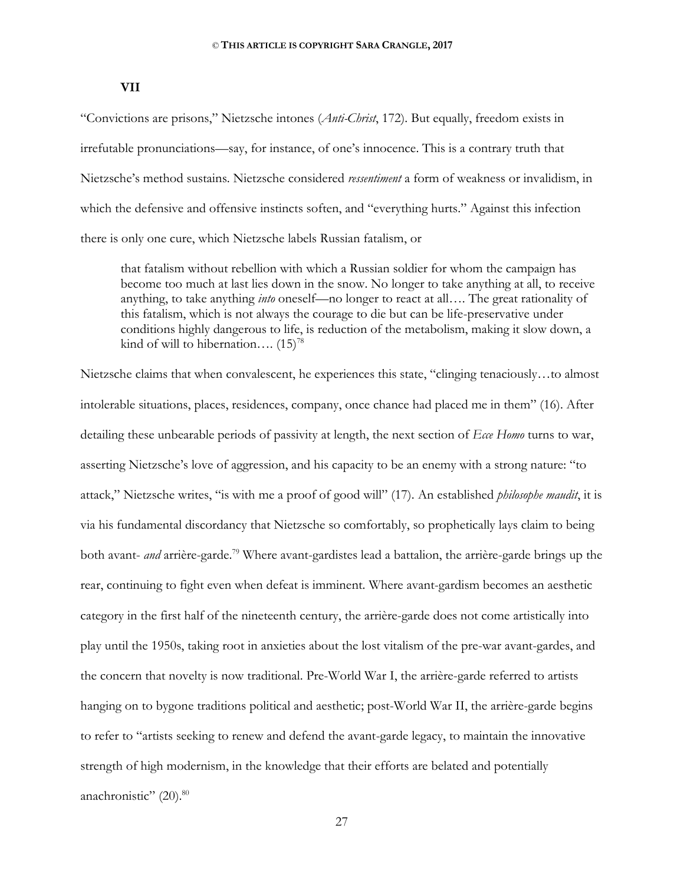### **VII**

"Convictions are prisons," Nietzsche intones (*Anti-Christ*, 172). But equally, freedom exists in irrefutable pronunciations—say, for instance, of one's innocence. This is a contrary truth that Nietzsche's method sustains. Nietzsche considered *ressentiment* a form of weakness or invalidism, in which the defensive and offensive instincts soften, and "everything hurts." Against this infection there is only one cure, which Nietzsche labels Russian fatalism, or

that fatalism without rebellion with which a Russian soldier for whom the campaign has become too much at last lies down in the snow. No longer to take anything at all, to receive anything, to take anything *into* oneself—no longer to react at all…. The great rationality of this fatalism, which is not always the courage to die but can be life-preservative under conditions highly dangerous to life, is reduction of the metabolism, making it slow down, a kind of will to hibernation....  $(15)^{78}$ 

Nietzsche claims that when convalescent, he experiences this state, "clinging tenaciously…to almost intolerable situations, places, residences, company, once chance had placed me in them" (16). After detailing these unbearable periods of passivity at length, the next section of *Ecce Homo* turns to war, asserting Nietzsche's love of aggression, and his capacity to be an enemy with a strong nature: "to attack," Nietzsche writes, "is with me a proof of good will" (17). An established *philosophe maudit*, it is via his fundamental discordancy that Nietzsche so comfortably, so prophetically lays claim to being both avant- *and* arrière-garde.<sup>79</sup> Where avant-gardistes lead a battalion, the arrière-garde brings up the rear, continuing to fight even when defeat is imminent. Where avant-gardism becomes an aesthetic category in the first half of the nineteenth century, the arrière-garde does not come artistically into play until the 1950s, taking root in anxieties about the lost vitalism of the pre-war avant-gardes, and the concern that novelty is now traditional. Pre-World War I, the arrière-garde referred to artists hanging on to bygone traditions political and aesthetic; post-World War II, the arrière-garde begins to refer to "artists seeking to renew and defend the avant-garde legacy, to maintain the innovative strength of high modernism, in the knowledge that their efforts are belated and potentially anachronistic" (20).<sup>80</sup>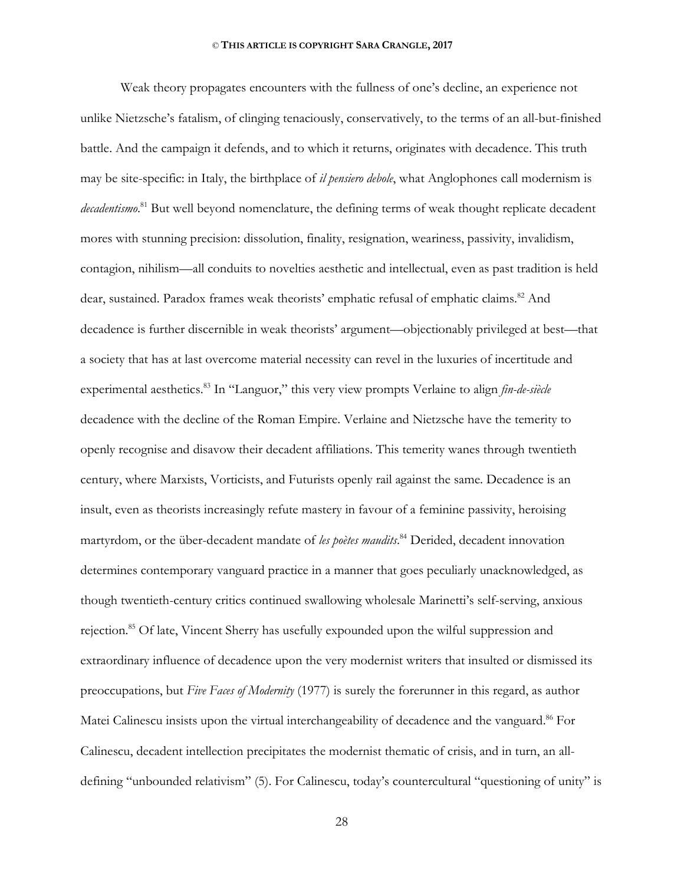Weak theory propagates encounters with the fullness of one's decline, an experience not unlike Nietzsche's fatalism, of clinging tenaciously, conservatively, to the terms of an all-but-finished battle. And the campaign it defends, and to which it returns, originates with decadence. This truth may be site-specific: in Italy, the birthplace of *il pensiero debole*, what Anglophones call modernism is *decadentismo*. <sup>81</sup> But well beyond nomenclature, the defining terms of weak thought replicate decadent mores with stunning precision: dissolution, finality, resignation, weariness, passivity, invalidism, contagion, nihilism—all conduits to novelties aesthetic and intellectual, even as past tradition is held dear, sustained. Paradox frames weak theorists' emphatic refusal of emphatic claims.<sup>82</sup> And decadence is further discernible in weak theorists' argument—objectionably privileged at best—that a society that has at last overcome material necessity can revel in the luxuries of incertitude and experimental aesthetics. <sup>83</sup> In "Languor," this very view prompts Verlaine to align *fin-de-siècle* decadence with the decline of the Roman Empire. Verlaine and Nietzsche have the temerity to openly recognise and disavow their decadent affiliations. This temerity wanes through twentieth century, where Marxists, Vorticists, and Futurists openly rail against the same. Decadence is an insult, even as theorists increasingly refute mastery in favour of a feminine passivity, heroising martyrdom, or the über-decadent mandate of *les poètes maudits*. <sup>84</sup> Derided, decadent innovation determines contemporary vanguard practice in a manner that goes peculiarly unacknowledged, as though twentieth-century critics continued swallowing wholesale Marinetti's self-serving, anxious rejection.<sup>85</sup> Of late, Vincent Sherry has usefully expounded upon the wilful suppression and extraordinary influence of decadence upon the very modernist writers that insulted or dismissed its preoccupations, but *Five Faces of Modernity* (1977) is surely the forerunner in this regard, as author Matei Calinescu insists upon the virtual interchangeability of decadence and the vanguard.<sup>86</sup> For Calinescu, decadent intellection precipitates the modernist thematic of crisis, and in turn, an alldefining "unbounded relativism" (5). For Calinescu, today's countercultural "questioning of unity" is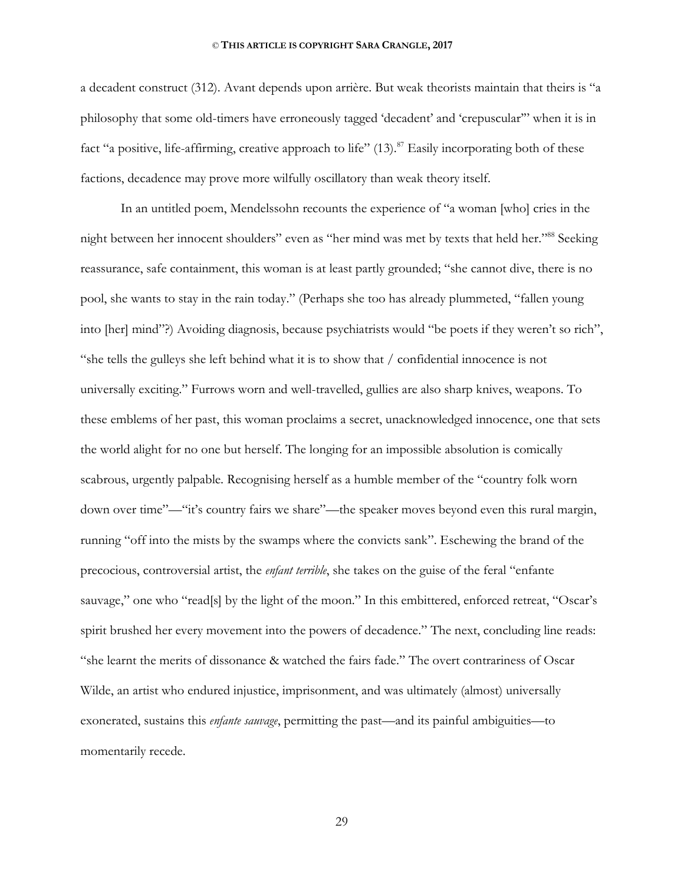a decadent construct (312). Avant depends upon arrière. But weak theorists maintain that theirs is "a philosophy that some old-timers have erroneously tagged 'decadent' and 'crepuscular'" when it is in fact "a positive, life-affirming, creative approach to life"  $(13)$ .<sup>87</sup> Easily incorporating both of these factions, decadence may prove more wilfully oscillatory than weak theory itself.

In an untitled poem, Mendelssohn recounts the experience of "a woman [who] cries in the night between her innocent shoulders" even as "her mind was met by texts that held her." <sup>88</sup> Seeking reassurance, safe containment, this woman is at least partly grounded; "she cannot dive, there is no pool, she wants to stay in the rain today." (Perhaps she too has already plummeted, "fallen young into [her] mind"?) Avoiding diagnosis, because psychiatrists would "be poets if they weren't so rich", "she tells the gulleys she left behind what it is to show that  $/$  confidential innocence is not universally exciting." Furrows worn and well-travelled, gullies are also sharp knives, weapons. To these emblems of her past, this woman proclaims a secret, unacknowledged innocence, one that sets the world alight for no one but herself. The longing for an impossible absolution is comically scabrous, urgently palpable. Recognising herself as a humble member of the "country folk worn down over time"—"it's country fairs we share"—the speaker moves beyond even this rural margin, running "off into the mists by the swamps where the convicts sank". Eschewing the brand of the precocious, controversial artist, the *enfant terrible*, she takes on the guise of the feral "enfante sauvage," one who "read[s] by the light of the moon." In this embittered, enforced retreat, "Oscar's spirit brushed her every movement into the powers of decadence." The next, concluding line reads: "she learnt the merits of dissonance & watched the fairs fade." The overt contrariness of Oscar Wilde, an artist who endured injustice, imprisonment, and was ultimately (almost) universally exonerated, sustains this *enfante sauvage*, permitting the past—and its painful ambiguities—to momentarily recede.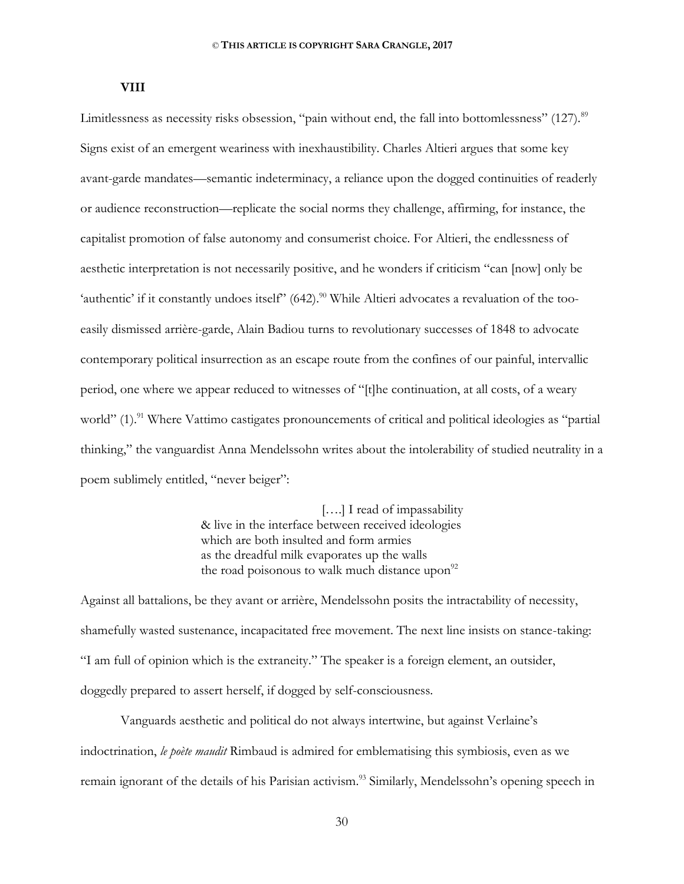#### **VIII**

Limitlessness as necessity risks obsession, "pain without end, the fall into bottomlessness" (127).<sup>89</sup> Signs exist of an emergent weariness with inexhaustibility. Charles Altieri argues that some key avant-garde mandates—semantic indeterminacy, a reliance upon the dogged continuities of readerly or audience reconstruction—replicate the social norms they challenge, affirming, for instance, the capitalist promotion of false autonomy and consumerist choice. For Altieri, the endlessness of aesthetic interpretation is not necessarily positive, and he wonders if criticism "can [now] only be 'authentic' if it constantly undoes itself"  $(642)$ .<sup>90</sup> While Altieri advocates a revaluation of the tooeasily dismissed arrière-garde, Alain Badiou turns to revolutionary successes of 1848 to advocate contemporary political insurrection as an escape route from the confines of our painful, intervallic period, one where we appear reduced to witnesses of "[t]he continuation, at all costs, of a weary world" (1).<sup>91</sup> Where Vattimo castigates pronouncements of critical and political ideologies as "partial thinking," the vanguardist Anna Mendelssohn writes about the intolerability of studied neutrality in a poem sublimely entitled, "never beiger":

> [....] I read of impassability & live in the interface between received ideologies which are both insulted and form armies as the dreadful milk evaporates up the walls the road poisonous to walk much distance upon $92$

Against all battalions, be they avant or arrière, Mendelssohn posits the intractability of necessity, shamefully wasted sustenance, incapacitated free movement. The next line insists on stance-taking: "I am full of opinion which is the extraneity." The speaker is a foreign element, an outsider, doggedly prepared to assert herself, if dogged by self-consciousness.

Vanguards aesthetic and political do not always intertwine, but against Verlaine's indoctrination, *le poète maudit* Rimbaud is admired for emblematising this symbiosis, even as we remain ignorant of the details of his Parisian activism.<sup>93</sup> Similarly, Mendelssohn's opening speech in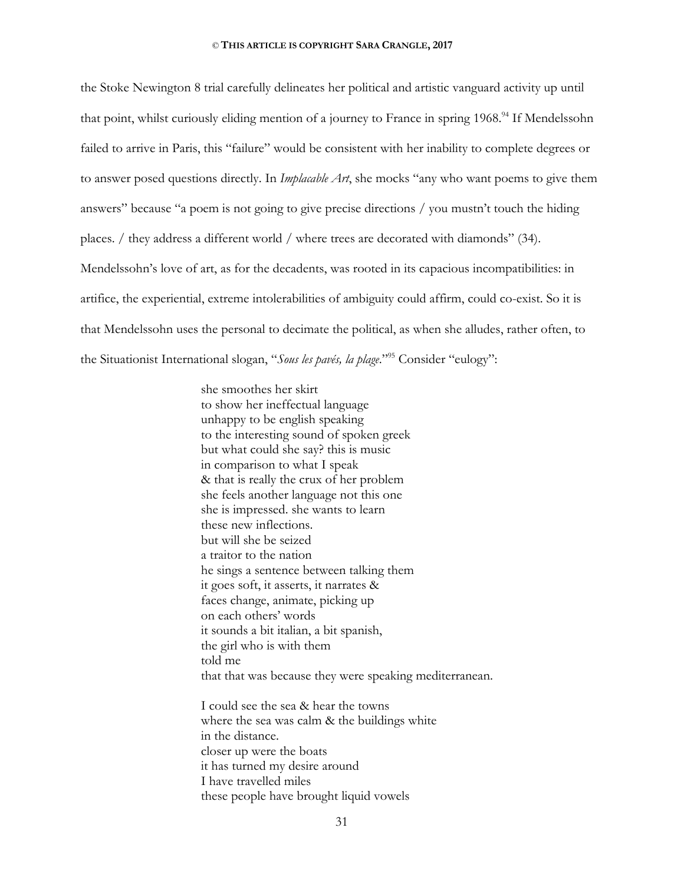the Stoke Newington 8 trial carefully delineates her political and artistic vanguard activity up until that point, whilst curiously eliding mention of a journey to France in spring 1968.<sup>94</sup> If Mendelssohn failed to arrive in Paris, this "failure" would be consistent with her inability to complete degrees or to answer posed questions directly. In *Implacable Art*, she mocks "any who want poems to give them answers" because "a poem is not going to give precise directions / you mustn't touch the hiding places. / they address a different world / where trees are decorated with diamonds" (34). Mendelssohn's love of art, as for the decadents, was rooted in its capacious incompatibilities: in artifice, the experiential, extreme intolerabilities of ambiguity could affirm, could co-exist. So it is that Mendelssohn uses the personal to decimate the political, as when she alludes, rather often, to the Situationist International slogan, "*Sous les pavés, la plage*."<sup>95</sup> Consider "eulogy":

> she smoothes her skirt to show her ineffectual language unhappy to be english speaking to the interesting sound of spoken greek but what could she say? this is music in comparison to what I speak & that is really the crux of her problem she feels another language not this one she is impressed. she wants to learn these new inflections. but will she be seized a traitor to the nation he sings a sentence between talking them it goes soft, it asserts, it narrates & faces change, animate, picking up on each others' words it sounds a bit italian, a bit spanish, the girl who is with them told me that that was because they were speaking mediterranean. I could see the sea & hear the towns where the sea was calm & the buildings white in the distance. closer up were the boats it has turned my desire around I have travelled miles these people have brought liquid vowels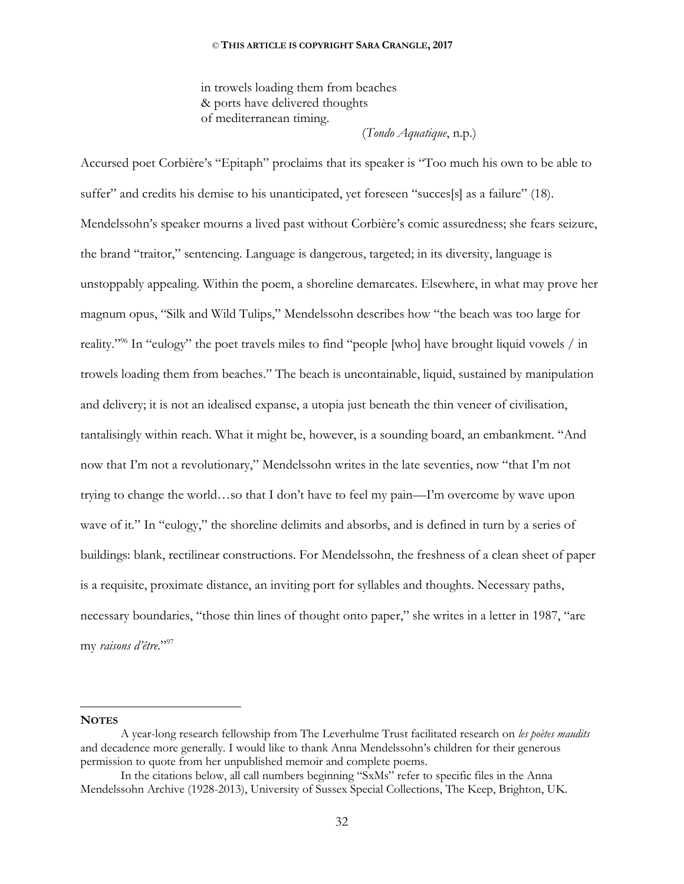in trowels loading them from beaches & ports have delivered thoughts of mediterranean timing.

(*Tondo Aquatique*, n.p.)

Accursed poet Corbière's "Epitaph" proclaims that its speaker is "Too much his own to be able to suffer" and credits his demise to his unanticipated, yet foreseen "succes[s] as a failure" (18). Mendelssohn's speaker mourns a lived past without Corbière's comic assuredness; she fears seizure, the brand "traitor," sentencing. Language is dangerous, targeted; in its diversity, language is unstoppably appealing. Within the poem, a shoreline demarcates. Elsewhere, in what may prove her magnum opus, "Silk and Wild Tulips," Mendelssohn describes how "the beach was too large for reality."<sup>96</sup> In "eulogy" the poet travels miles to find "people [who] have brought liquid vowels / in trowels loading them from beaches." The beach is uncontainable, liquid, sustained by manipulation and delivery; it is not an idealised expanse, a utopia just beneath the thin veneer of civilisation, tantalisingly within reach. What it might be, however, is a sounding board, an embankment. "And now that I'm not a revolutionary," Mendelssohn writes in the late seventies, now "that I'm not trying to change the world…so that I don't have to feel my pain—I'm overcome by wave upon wave of it." In "eulogy," the shoreline delimits and absorbs, and is defined in turn by a series of buildings: blank, rectilinear constructions. For Mendelssohn, the freshness of a clean sheet of paper is a requisite, proximate distance, an inviting port for syllables and thoughts. Necessary paths, necessary boundaries, "those thin lines of thought onto paper," she writes in a letter in 1987, "are my *raisons d'être*."<sup>97</sup>

#### **NOTES**

 $\overline{a}$ 

A year-long research fellowship from The Leverhulme Trust facilitated research on *les poètes maudits* and decadence more generally. I would like to thank Anna Mendelssohn's children for their generous permission to quote from her unpublished memoir and complete poems.

In the citations below, all call numbers beginning "SxMs" refer to specific files in the Anna Mendelssohn Archive (1928-2013), University of Sussex Special Collections, The Keep, Brighton, UK.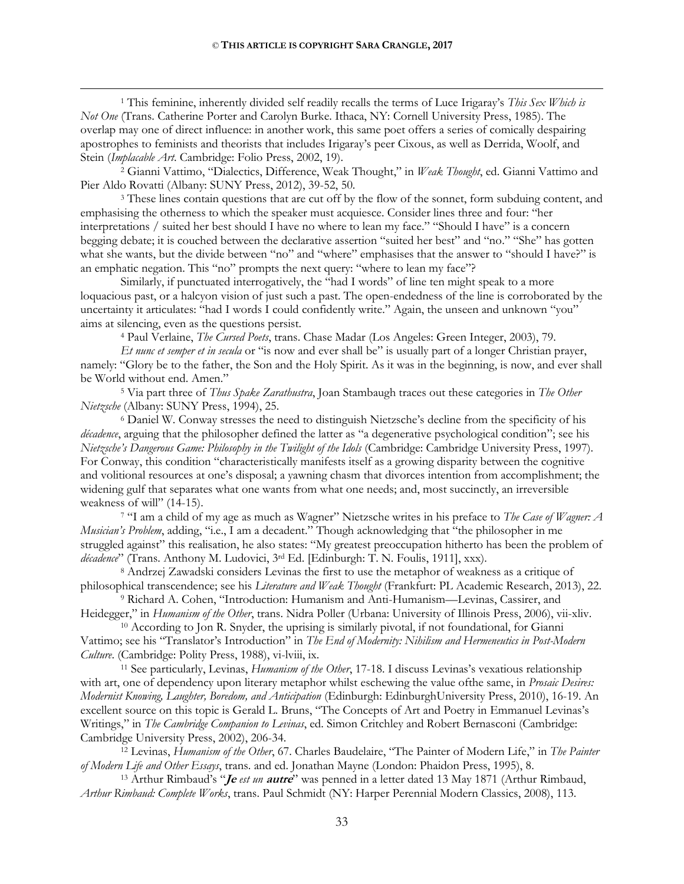$\overline{a}$ 

<sup>1</sup> This feminine, inherently divided self readily recalls the terms of Luce Irigaray's *This Sex Which is Not One* (Trans. Catherine Porter and Carolyn Burke. Ithaca, NY: Cornell University Press, 1985). The overlap may one of direct influence: in another work, this same poet offers a series of comically despairing apostrophes to feminists and theorists that includes Irigaray's peer Cixous, as well as Derrida, Woolf, and Stein (*Implacable Art*. Cambridge: Folio Press, 2002, 19).

<sup>2</sup> Gianni Vattimo, "Dialectics, Difference, Weak Thought," in *Weak Thought*, ed. Gianni Vattimo and Pier Aldo Rovatti (Albany: SUNY Press, 2012), 39-52, 50.

<sup>3</sup> These lines contain questions that are cut off by the flow of the sonnet, form subduing content, and emphasising the otherness to which the speaker must acquiesce. Consider lines three and four: "her interpretations / suited her best should I have no where to lean my face." "Should I have" is a concern begging debate; it is couched between the declarative assertion "suited her best" and "no." "She" has gotten what she wants, but the divide between "no" and "where" emphasises that the answer to "should I have?" is an emphatic negation. This "no" prompts the next query: "where to lean my face"?

Similarly, if punctuated interrogatively, the "had I words" of line ten might speak to a more loquacious past, or a halcyon vision of just such a past. The open-endedness of the line is corroborated by the uncertainty it articulates: "had I words I could confidently write." Again, the unseen and unknown "you" aims at silencing, even as the questions persist.

<sup>4</sup> Paul Verlaine, *The Cursed Poets*, trans. Chase Madar (Los Angeles: Green Integer, 2003), 79.

*Et nunc et semper et in secula* or "is now and ever shall be" is usually part of a longer Christian prayer, namely: "Glory be to the father, the Son and the Holy Spirit. As it was in the beginning, is now, and ever shall be World without end. Amen."

<sup>5</sup> Via part three of *Thus Spake Zarathustra*, Joan Stambaugh traces out these categories in *The Other Nietzsche* (Albany: SUNY Press, 1994), 25.

<sup>6</sup> Daniel W. Conway stresses the need to distinguish Nietzsche's decline from the specificity of his *décadence*, arguing that the philosopher defined the latter as "a degenerative psychological condition"; see his *Nietzsche's Dangerous Game: Philosophy in the Twilight of the Idols* (Cambridge: Cambridge University Press, 1997). For Conway, this condition "characteristically manifests itself as a growing disparity between the cognitive and volitional resources at one's disposal; a yawning chasm that divorces intention from accomplishment; the widening gulf that separates what one wants from what one needs; and, most succinctly, an irreversible weakness of will" (14-15).

<sup>7</sup> "I am a child of my age as much as Wagner" Nietzsche writes in his preface to *The Case of Wagner: A Musician's Problem*, adding, "i.e., I am a decadent." Though acknowledging that "the philosopher in me struggled against" this realisation, he also states: "My greatest preoccupation hitherto has been the problem of *décadence*" (Trans. Anthony M. Ludovici, 3rd Ed. [Edinburgh: T. N. Foulis, 1911], xxx).

<sup>8</sup> Andrzej Zawadski considers Levinas the first to use the metaphor of weakness as a critique of philosophical transcendence; see his *Literature and Weak Thought* (Frankfurt: PL Academic Research, 2013), 22.

<sup>9</sup> Richard A. Cohen, "Introduction: Humanism and Anti-Humanism—Levinas, Cassirer, and Heidegger," in *Humanism of the Other*, trans. Nidra Poller (Urbana: University of Illinois Press, 2006), vii-xliv.

<sup>10</sup> According to Jon R. Snyder, the uprising is similarly pivotal, if not foundational, for Gianni Vattimo; see his "Translator's Introduction" in *The End of Modernity: Nihilism and Hermeneutics in Post-Modern Culture*. (Cambridge: Polity Press, 1988), vi-lviii, ix.

<sup>11</sup> See particularly, Levinas, *Humanism of the Other*, 17-18. I discuss Levinas's vexatious relationship with art, one of dependency upon literary metaphor whilst eschewing the value ofthe same, in *Prosaic Desires: Modernist Knowing, Laughter, Boredom, and Anticipation* (Edinburgh: EdinburghUniversity Press, 2010), 16-19. An excellent source on this topic is Gerald L. Bruns, "The Concepts of Art and Poetry in Emmanuel Levinas's Writings," in *The Cambridge Companion to Levinas*, ed. Simon Critchley and Robert Bernasconi (Cambridge: Cambridge University Press, 2002), 206-34.

<sup>12</sup> Levinas, *Humanism of the Other*, 67. Charles Baudelaire, "The Painter of Modern Life," in *The Painter of Modern Life and Other Essays*, trans. and ed. Jonathan Mayne (London: Phaidon Press, 1995), 8.

<sup>13</sup> Arthur Rimbaud's "**Je** *est un* **autre**" was penned in a letter dated 13 May 1871 (Arthur Rimbaud, *Arthur Rimbaud: Complete Works*, trans. Paul Schmidt (NY: Harper Perennial Modern Classics, 2008), 113.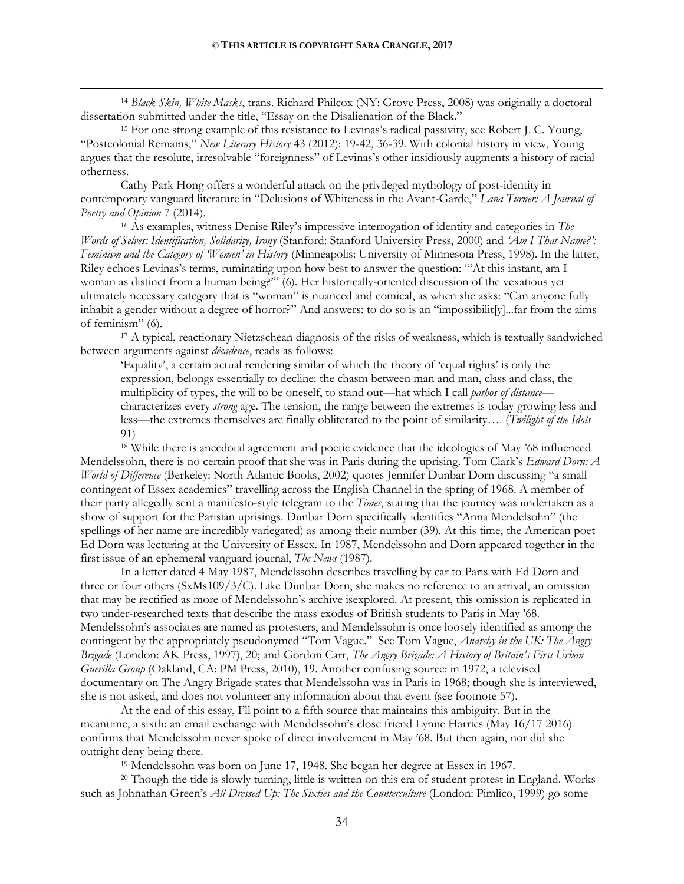$\overline{a}$ 

<sup>14</sup> *Black Skin, White Masks*, trans. Richard Philcox (NY: Grove Press, 2008) was originally a doctoral dissertation submitted under the title, "Essay on the Disalienation of the Black."

<sup>15</sup> For one strong example of this resistance to Levinas's radical passivity, see Robert J. C. Young, "Postcolonial Remains," *New Literary History* 43 (2012): 19-42, 36-39. With colonial history in view, Young argues that the resolute, irresolvable "foreignness" of Levinas's other insidiously augments a history of racial otherness.

Cathy Park Hong offers a wonderful attack on the privileged mythology of post-identity in contemporary vanguard literature in "Delusions of Whiteness in the Avant-Garde," *Lana Turner: A Journal of Poetry and Opinion* 7 (2014).

<sup>16</sup> As examples, witness Denise Riley's impressive interrogation of identity and categories in *The Words of Selves: Identification, Solidarity, Irony* (Stanford: Stanford University Press, 2000) and *'Am I That Name?': Feminism and the Category of 'Women' in History* (Minneapolis: University of Minnesota Press, 1998). In the latter, Riley echoes Levinas's terms, ruminating upon how best to answer the question: "'At this instant, am I woman as distinct from a human being?'" (6). Her historically-oriented discussion of the vexatious yet ultimately necessary category that is "woman" is nuanced and comical, as when she asks: "Can anyone fully inhabit a gender without a degree of horror?" And answers: to do so is an "impossibilit[y]...far from the aims of feminism" (6).

<sup>17</sup> A typical, reactionary Nietzschean diagnosis of the risks of weakness, which is textually sandwiched between arguments against *décadence*, reads as follows:

'Equality', a certain actual rendering similar of which the theory of 'equal rights' is only the expression, belongs essentially to decline: the chasm between man and man, class and class, the multiplicity of types, the will to be oneself, to stand out—hat which I call *pathos of distance* characterizes every *strong* age. The tension, the range between the extremes is today growing less and less—the extremes themselves are finally obliterated to the point of similarity…. (*Twilight of the Idols*  91)

<sup>18</sup> While there is anecdotal agreement and poetic evidence that the ideologies of May '68 influenced Mendelssohn, there is no certain proof that she was in Paris during the uprising. Tom Clark's *Edward Dorn: A World of Difference* (Berkeley: North Atlantic Books, 2002) quotes Jennifer Dunbar Dorn discussing "a small contingent of Essex academics" travelling across the English Channel in the spring of 1968. A member of their party allegedly sent a manifesto-style telegram to the *Times*, stating that the journey was undertaken as a show of support for the Parisian uprisings. Dunbar Dorn specifically identifies "Anna Mendelsohn" (the spellings of her name are incredibly variegated) as among their number (39). At this time, the American poet Ed Dorn was lecturing at the University of Essex. In 1987, Mendelssohn and Dorn appeared together in the first issue of an ephemeral vanguard journal, *The News* (1987).

In a letter dated 4 May 1987, Mendelssohn describes travelling by car to Paris with Ed Dorn and three or four others (SxMs109/3/C). Like Dunbar Dorn, she makes no reference to an arrival, an omission that may be rectified as more of Mendelssohn's archive isexplored. At present, this omission is replicated in two under-researched texts that describe the mass exodus of British students to Paris in May '68. Mendelssohn's associates are named as protesters, and Mendelssohn is once loosely identified as among the contingent by the appropriately pseudonymed "Tom Vague." See Tom Vague, *Anarchy in the UK: The Angry Brigade* (London: AK Press, 1997), 20; and Gordon Carr, *The Angry Brigade: A History of Britain's First Urban Guerilla Group* (Oakland, CA: PM Press, 2010), 19. Another confusing source: in 1972, a televised documentary on The Angry Brigade states that Mendelssohn was in Paris in 1968; though she is interviewed, she is not asked, and does not volunteer any information about that event (see footnote 57).

At the end of this essay, I'll point to a fifth source that maintains this ambiguity. But in the meantime, a sixth: an email exchange with Mendelssohn's close friend Lynne Harries (May 16/17 2016) confirms that Mendelssohn never spoke of direct involvement in May '68. But then again, nor did she outright deny being there.

<sup>19</sup> Mendelssohn was born on June 17, 1948. She began her degree at Essex in 1967.

<sup>20</sup> Though the tide is slowly turning, little is written on this era of student protest in England. Works such as Johnathan Green's *All Dressed Up: The Sixties and the Counterculture* (London: Pimlico, 1999) go some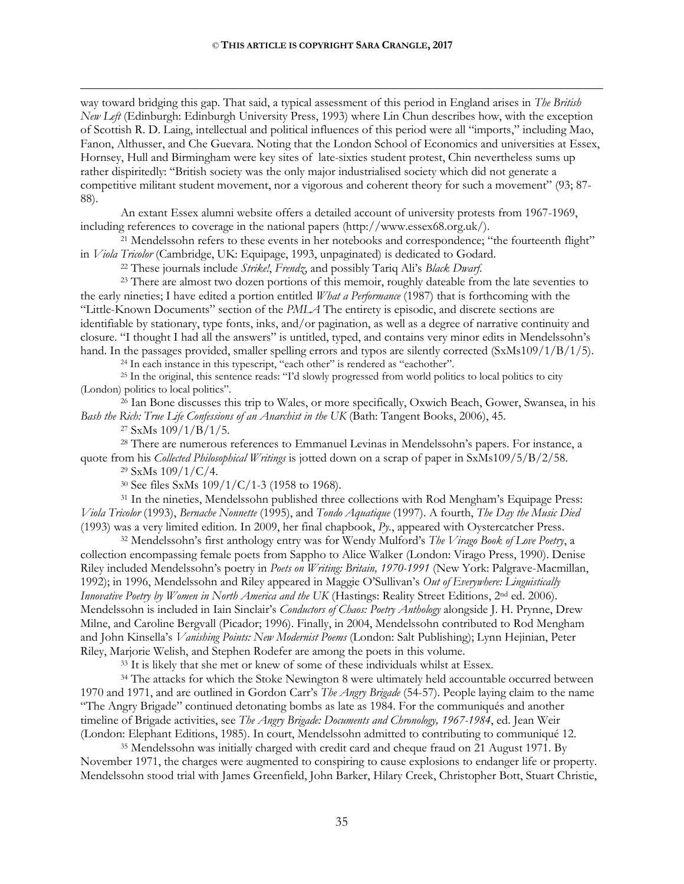way toward bridging this gap. That said, a typical assessment of this period in England arises in *The British New Left* (Edinburgh: Edinburgh University Press, 1993) where Lin Chun describes how, with the exception of Scottish R. D. Laing, intellectual and political influences of this period were all "imports," including Mao, Fanon, Althusser, and Che Guevara. Noting that the London School of Economics and universities at Essex, Hornsey, Hull and Birmingham were key sites of late-sixties student protest, Chin nevertheless sums up rather dispiritedly: "British society was the only major industrialised society which did not generate a competitive militant student movement, nor a vigorous and coherent theory for such a movement" (93; 87- 88).

An extant Essex alumni website offers a detailed account of university protests from 1967-1969, including references to coverage in the national papers (http://www.essex68.org.uk/).

<sup>21</sup> Mendelssohn refers to these events in her notebooks and correspondence; "the fourteenth flight" in *Viola Tricolor* (Cambridge, UK: Equipage, 1993, unpaginated) is dedicated to Godard.

<sup>22</sup> These journals include *Strike!*, *Frendz*, and possibly Tariq Ali's *Black Dwarf*.

<sup>23</sup> There are almost two dozen portions of this memoir, roughly dateable from the late seventies to the early nineties; I have edited a portion entitled *What a Performance* (1987) that is forthcoming with the "Little-Known Documents" section of the *PMLA* The entirety is episodic, and discrete sections are identifiable by stationary, type fonts, inks, and/or pagination, as well as a degree of narrative continuity and closure. "I thought I had all the answers" is untitled, typed, and contains very minor edits in Mendelssohn's hand. In the passages provided, smaller spelling errors and typos are silently corrected (SxMs109/1/B/1/5).

<sup>24</sup> In each instance in this typescript, "each other" is rendered as "eachother".

<sup>25</sup> In the original, this sentence reads: "I'd slowly progressed from world politics to local politics to city (London) politics to local politics".

<sup>26</sup> Ian Bone discusses this trip to Wales, or more specifically, Oxwich Beach, Gower, Swansea, in his *Bash the Rich: True Life Confessions of an Anarchist in the UK* (Bath: Tangent Books, 2006), 45.

<sup>27</sup> SxMs 109/1/B/1/5.

 $\overline{a}$ 

<sup>28</sup> There are numerous references to Emmanuel Levinas in Mendelssohn's papers. For instance, a quote from his *Collected Philosophical Writings* is jotted down on a scrap of paper in SxMs109/5/B/2/58.

 $29$  SxMs  $109/1/C/4$ .

<sup>30</sup> See files SxMs 109/1/C/1-3 (1958 to 1968).

<sup>31</sup> In the nineties, Mendelssohn published three collections with Rod Mengham's Equipage Press: *Viola Tricolor* (1993), *Bernache Nonnette* (1995), and *Tondo Aquatique* (1997). A fourth, *The Day the Music Died*  (1993) was a very limited edition. In 2009, her final chapbook, *Py.*, appeared with Oystercatcher Press.

<sup>32</sup> Mendelssohn's first anthology entry was for Wendy Mulford's *The Virago Book of Love Poetry*, a collection encompassing female poets from Sappho to Alice Walker (London: Virago Press, 1990). Denise Riley included Mendelssohn's poetry in *Poets on Writing: Britain, 1970-1991* (New York: Palgrave-Macmillan, 1992); in 1996, Mendelssohn and Riley appeared in Maggie O'Sullivan's *Out of Everywhere: Linguistically Innovative Poetry by Women in North America and the UK* (Hastings: Reality Street Editions, 2nd ed. 2006). Mendelssohn is included in Iain Sinclair's *Conductors of Chaos: Poetry Anthology* alongside J. H. Prynne, Drew Milne, and Caroline Bergvall (Picador; 1996). Finally, in 2004, Mendelssohn contributed to Rod Mengham and John Kinsella's *Vanishing Points: New Modernist Poems* (London: Salt Publishing); Lynn Hejinian, Peter Riley, Marjorie Welish, and Stephen Rodefer are among the poets in this volume.

<sup>33</sup> It is likely that she met or knew of some of these individuals whilst at Essex.

<sup>34</sup> The attacks for which the Stoke Newington 8 were ultimately held accountable occurred between 1970 and 1971, and are outlined in Gordon Carr's *The Angry Brigade* (54-57). People laying claim to the name "The Angry Brigade" continued detonating bombs as late as 1984. For the communiqués and another timeline of Brigade activities, see *The Angry Brigade: Documents and Chronology, 1967-1984*, ed. Jean Weir (London: Elephant Editions, 1985). In court, Mendelssohn admitted to contributing to communiqué 12.

<sup>35</sup> Mendelssohn was initially charged with credit card and cheque fraud on 21 August 1971. By November 1971, the charges were augmented to conspiring to cause explosions to endanger life or property. Mendelssohn stood trial with James Greenfield, John Barker, Hilary Creek, Christopher Bott, Stuart Christie,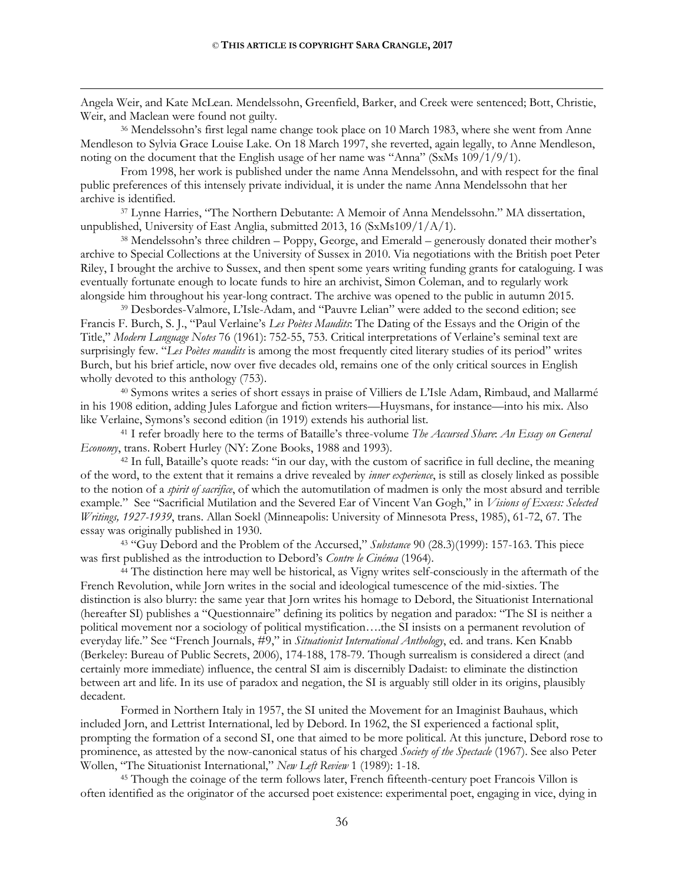$\overline{a}$ 

Angela Weir, and Kate McLean. Mendelssohn, Greenfield, Barker, and Creek were sentenced; Bott, Christie, Weir, and Maclean were found not guilty.

<sup>36</sup> Mendelssohn's first legal name change took place on 10 March 1983, where she went from Anne Mendleson to Sylvia Grace Louise Lake. On 18 March 1997, she reverted, again legally, to Anne Mendleson, noting on the document that the English usage of her name was "Anna" (SxMs 109/1/9/1).

From 1998, her work is published under the name Anna Mendelssohn, and with respect for the final public preferences of this intensely private individual, it is under the name Anna Mendelssohn that her archive is identified.

<sup>37</sup> Lynne Harries, "The Northern Debutante: A Memoir of Anna Mendelssohn." MA dissertation, unpublished, University of East Anglia, submitted 2013, 16 (SxMs109/1/A/1).

<sup>38</sup> Mendelssohn's three children – Poppy, George, and Emerald – generously donated their mother's archive to Special Collections at the University of Sussex in 2010. Via negotiations with the British poet Peter Riley, I brought the archive to Sussex, and then spent some years writing funding grants for cataloguing. I was eventually fortunate enough to locate funds to hire an archivist, Simon Coleman, and to regularly work alongside him throughout his year-long contract. The archive was opened to the public in autumn 2015.

<sup>39</sup> Desbordes-Valmore, L'Isle-Adam, and "Pauvre Lelian" were added to the second edition; see Francis F. Burch, S. J., "Paul Verlaine's *Les Poètes Maudits*: The Dating of the Essays and the Origin of the Title," *Modern Language Notes* 76 (1961): 752-55, 753. Critical interpretations of Verlaine's seminal text are surprisingly few. "*Les Poètes maudits* is among the most frequently cited literary studies of its period" writes Burch, but his brief article, now over five decades old, remains one of the only critical sources in English wholly devoted to this anthology (753).

<sup>40</sup> Symons writes a series of short essays in praise of Villiers de L'Isle Adam, Rimbaud, and Mallarmé in his 1908 edition, adding Jules Laforgue and fiction writers—Huysmans, for instance—into his mix. Also like Verlaine, Symons's second edition (in 1919) extends his authorial list.

<sup>41</sup> I refer broadly here to the terms of Bataille's three-volume *The Accursed Share*: *An Essay on General Economy*, trans. Robert Hurley (NY: Zone Books, 1988 and 1993).

<sup>42</sup> In full, Bataille's quote reads: "in our day, with the custom of sacrifice in full decline, the meaning of the word, to the extent that it remains a drive revealed by *inner experience*, is still as closely linked as possible to the notion of a *spirit of sacrifice*, of which the automutilation of madmen is only the most absurd and terrible example." See "Sacrificial Mutilation and the Severed Ear of Vincent Van Gogh," in *Visions of Excess: Selected Writings, 1927-1939*, trans. Allan Soekl (Minneapolis: University of Minnesota Press, 1985), 61-72, 67. The essay was originally published in 1930.

<sup>43</sup> "Guy Debord and the Problem of the Accursed," *Substance* 90 (28.3)(1999): 157-163. This piece was first published as the introduction to Debord's *Contre le Cinéma* (1964).

<sup>44</sup> The distinction here may well be historical, as Vigny writes self-consciously in the aftermath of the French Revolution, while Jorn writes in the social and ideological tumescence of the mid-sixties. The distinction is also blurry: the same year that Jorn writes his homage to Debord, the Situationist International (hereafter SI) publishes a "Questionnaire" defining its politics by negation and paradox: "The SI is neither a political movement nor a sociology of political mystification….the SI insists on a permanent revolution of everyday life." See "French Journals, #9," in *Situationist International Anthology*, ed. and trans. Ken Knabb (Berkeley: Bureau of Public Secrets, 2006), 174-188, 178-79. Though surrealism is considered a direct (and certainly more immediate) influence, the central SI aim is discernibly Dadaist: to eliminate the distinction between art and life. In its use of paradox and negation, the SI is arguably still older in its origins, plausibly decadent.

Formed in Northern Italy in 1957, the SI united the Movement for an Imaginist Bauhaus, which included Jorn, and Lettrist International, led by Debord. In 1962, the SI experienced a factional split, prompting the formation of a second SI, one that aimed to be more political. At this juncture, Debord rose to prominence, as attested by the now-canonical status of his charged *Society of the Spectacle* (1967). See also Peter Wollen, "The Situationist International," *New Left Review* 1 (1989): 1-18.

<sup>45</sup> Though the coinage of the term follows later, French fifteenth-century poet Francois Villon is often identified as the originator of the accursed poet existence: experimental poet, engaging in vice, dying in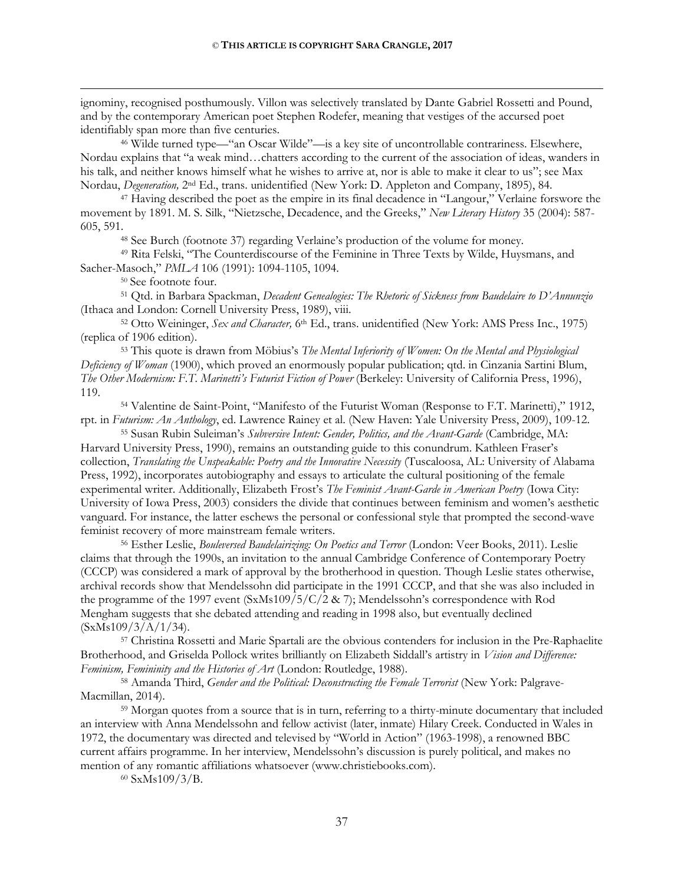ignominy, recognised posthumously. Villon was selectively translated by Dante Gabriel Rossetti and Pound, and by the contemporary American poet Stephen Rodefer, meaning that vestiges of the accursed poet identifiably span more than five centuries.

<sup>46</sup> Wilde turned type—"an Oscar Wilde"—is a key site of uncontrollable contrariness. Elsewhere, Nordau explains that "a weak mind…chatters according to the current of the association of ideas, wanders in his talk, and neither knows himself what he wishes to arrive at, nor is able to make it clear to us"; see Max Nordau, *Degeneration,* 2nd Ed., trans. unidentified (New York: D. Appleton and Company, 1895), 84.

<sup>47</sup> Having described the poet as the empire in its final decadence in "Langour," Verlaine forswore the movement by 1891. M. S. Silk, "Nietzsche, Decadence, and the Greeks," *New Literary History* 35 (2004): 587- 605, 591.

<sup>48</sup> See Burch (footnote 37) regarding Verlaine's production of the volume for money.

<sup>49</sup> Rita Felski, "The Counterdiscourse of the Feminine in Three Texts by Wilde, Huysmans, and Sacher-Masoch," *PMLA* 106 (1991): 1094-1105, 1094.

<sup>50</sup> See footnote four.

 $\overline{a}$ 

<sup>51</sup> Qtd. in Barbara Spackman, *Decadent Genealogies: The Rhetoric of Sickness from Baudelaire to D'Annunzio* (Ithaca and London: Cornell University Press, 1989), viii.

<sup>52</sup> Otto Weininger, *Sex and Character*, 6<sup>th</sup> Ed., trans. unidentified (New York: AMS Press Inc., 1975) (replica of 1906 edition).

<sup>53</sup> This quote is drawn from Möbius's *The Mental Inferiority of Women: On the Mental and Physiological Deficiency of Woman* (1900), which proved an enormously popular publication; qtd. in Cinzania Sartini Blum, *The Other Modernism: F.T. Marinetti's Futurist Fiction of Power* (Berkeley: University of California Press, 1996), 119.

<sup>54</sup> Valentine de Saint-Point, "Manifesto of the Futurist Woman (Response to F.T. Marinetti)," 1912, rpt. in *Futurism: An Anthology*, ed. Lawrence Rainey et al. (New Haven: Yale University Press, 2009), 109-12.

<sup>55</sup> Susan Rubin Suleiman's *Subversive Intent: Gender, Politics, and the Avant-Garde* (Cambridge, MA: Harvard University Press, 1990), remains an outstanding guide to this conundrum. Kathleen Fraser's collection, *Translating the Unspeakable: Poetry and the Innovative Necessity* (Tuscaloosa, AL: University of Alabama Press, 1992), incorporates autobiography and essays to articulate the cultural positioning of the female experimental writer. Additionally, Elizabeth Frost's *The Feminist Avant-Garde in American Poetry* (Iowa City: University of Iowa Press, 2003) considers the divide that continues between feminism and women's aesthetic vanguard. For instance, the latter eschews the personal or confessional style that prompted the second-wave feminist recovery of more mainstream female writers.

<sup>56</sup> Esther Leslie, *Bouleversed Baudelairizing: On Poetics and Terror* (London: Veer Books, 2011). Leslie claims that through the 1990s, an invitation to the annual Cambridge Conference of Contemporary Poetry (CCCP) was considered a mark of approval by the brotherhood in question. Though Leslie states otherwise, archival records show that Mendelssohn did participate in the 1991 CCCP, and that she was also included in the programme of the 1997 event (SxMs109/5/C/2 & 7); Mendelssohn's correspondence with Rod Mengham suggests that she debated attending and reading in 1998 also, but eventually declined  $(SxMs109/3/A/1/34)$ .

<sup>57</sup> Christina Rossetti and Marie Spartali are the obvious contenders for inclusion in the Pre-Raphaelite Brotherhood, and Griselda Pollock writes brilliantly on Elizabeth Siddall's artistry in *Vision and Difference: Feminism, Femininity and the Histories of Art* (London: Routledge, 1988).

<sup>58</sup> Amanda Third, *Gender and the Political: Deconstructing the Female Terrorist* (New York: Palgrave-Macmillan, 2014).

<sup>59</sup> Morgan quotes from a source that is in turn, referring to a thirty-minute documentary that included an interview with Anna Mendelssohn and fellow activist (later, inmate) Hilary Creek. Conducted in Wales in 1972, the documentary was directed and televised by "World in Action" (1963-1998), a renowned BBC current affairs programme. In her interview, Mendelssohn's discussion is purely political, and makes no mention of any romantic affiliations whatsoever (www.christiebooks.com).

<sup>60</sup> SxMs109/3/B.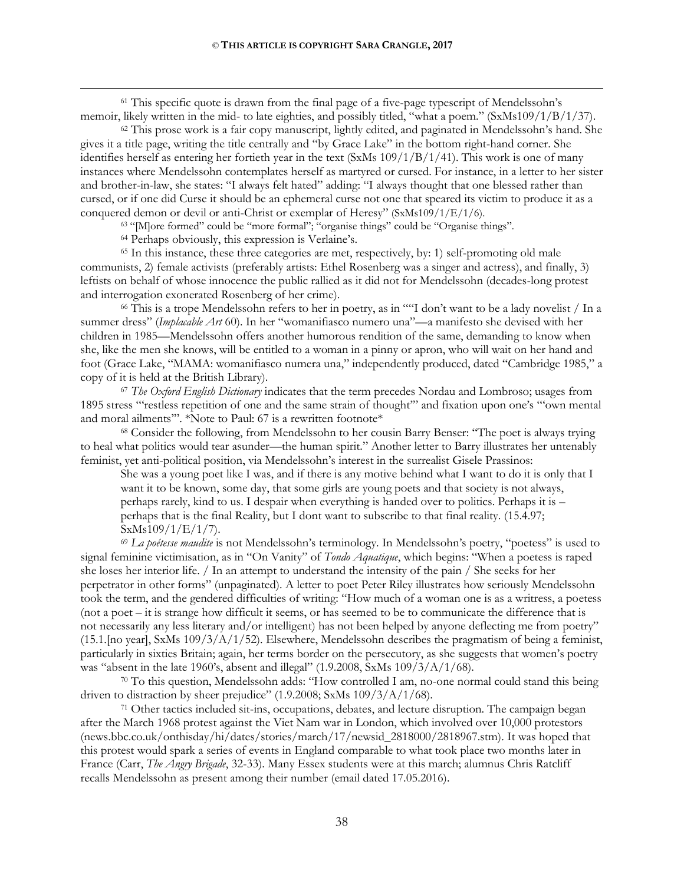<sup>61</sup> This specific quote is drawn from the final page of a five-page typescript of Mendelssohn's memoir, likely written in the mid- to late eighties, and possibly titled, "what a poem." (SxMs109/1/B/1/37).

 $62$  This prose work is a fair copy manuscript, lightly edited, and paginated in Mendelssohn's hand. She gives it a title page, writing the title centrally and "by Grace Lake" in the bottom right-hand corner. She identifies herself as entering her fortieth year in the text (SxMs 109/1/B/1/41). This work is one of many instances where Mendelssohn contemplates herself as martyred or cursed. For instance, in a letter to her sister and brother-in-law, she states: "I always felt hated" adding: "I always thought that one blessed rather than cursed, or if one did Curse it should be an ephemeral curse not one that speared its victim to produce it as a conquered demon or devil or anti-Christ or exemplar of Heresy" (SxMs109/1/E/1/6).

<sup>63</sup> "[M]ore formed" could be "more formal"; "organise things" could be "Organise things".

<sup>64</sup> Perhaps obviously, this expression is Verlaine's.

 $\overline{a}$ 

<sup>65</sup> In this instance, these three categories are met, respectively, by: 1) self-promoting old male communists, 2) female activists (preferably artists: Ethel Rosenberg was a singer and actress), and finally, 3) leftists on behalf of whose innocence the public rallied as it did not for Mendelssohn (decades-long protest and interrogation exonerated Rosenberg of her crime).

<sup>66</sup> This is a trope Mendelssohn refers to her in poetry, as in ""I don't want to be a lady novelist / In a summer dress" (*Implacable Art* 60). In her "womanifiasco numero una"—a manifesto she devised with her children in 1985—Mendelssohn offers another humorous rendition of the same, demanding to know when she, like the men she knows, will be entitled to a woman in a pinny or apron, who will wait on her hand and foot (Grace Lake, "MAMA: womanifiasco numera una," independently produced, dated "Cambridge 1985," a copy of it is held at the British Library).

<sup>67</sup> *The Oxford English Dictionary* indicates that the term precedes Nordau and Lombroso; usages from 1895 stress "'restless repetition of one and the same strain of thought'" and fixation upon one's "'own mental and moral ailments'". \*Note to Paul: 67 is a rewritten footnote\*

<sup>68</sup> Consider the following, from Mendelssohn to her cousin Barry Benser: "The poet is always trying to heal what politics would tear asunder—the human spirit." Another letter to Barry illustrates her untenably feminist, yet anti-political position, via Mendelssohn's interest in the surrealist Gisele Prassinos:

She was a young poet like I was, and if there is any motive behind what I want to do it is only that I want it to be known, some day, that some girls are young poets and that society is not always, perhaps rarely, kind to us. I despair when everything is handed over to politics. Perhaps it is – perhaps that is the final Reality, but I dont want to subscribe to that final reality. (15.4.97; SxMs109/1/E/1/7).

<sup>69</sup> *La poétesse maudite* is not Mendelssohn's terminology. In Mendelssohn's poetry, "poetess" is used to signal feminine victimisation, as in "On Vanity" of *Tondo Aquatique*, which begins: "When a poetess is raped she loses her interior life. / In an attempt to understand the intensity of the pain / She seeks for her perpetrator in other forms" (unpaginated). A letter to poet Peter Riley illustrates how seriously Mendelssohn took the term, and the gendered difficulties of writing: "How much of a woman one is as a writress, a poetess (not a poet – it is strange how difficult it seems, or has seemed to be to communicate the difference that is not necessarily any less literary and/or intelligent) has not been helped by anyone deflecting me from poetry"  $(15.1$ .[no year], SxMs  $109/3/A/1/52$ ). Elsewhere, Mendelssohn describes the pragmatism of being a feminist, particularly in sixties Britain; again, her terms border on the persecutory, as she suggests that women's poetry was "absent in the late 1960's, absent and illegal" (1.9.2008, SxMs 109/3/A/1/68).

<sup>70</sup> To this question, Mendelssohn adds: "How controlled I am, no-one normal could stand this being driven to distraction by sheer prejudice" (1.9.2008; SxMs 109/3/A/1/68).

<sup>71</sup> Other tactics included sit-ins, occupations, debates, and lecture disruption. The campaign began after the March 1968 protest against the Viet Nam war in London, which involved over 10,000 protestors (news.bbc.co.uk/onthisday/hi/dates/stories/march/17/newsid\_2818000/2818967.stm). It was hoped that this protest would spark a series of events in England comparable to what took place two months later in France (Carr, *The Angry Brigade*, 32-33). Many Essex students were at this march; alumnus Chris Ratcliff recalls Mendelssohn as present among their number (email dated 17.05.2016).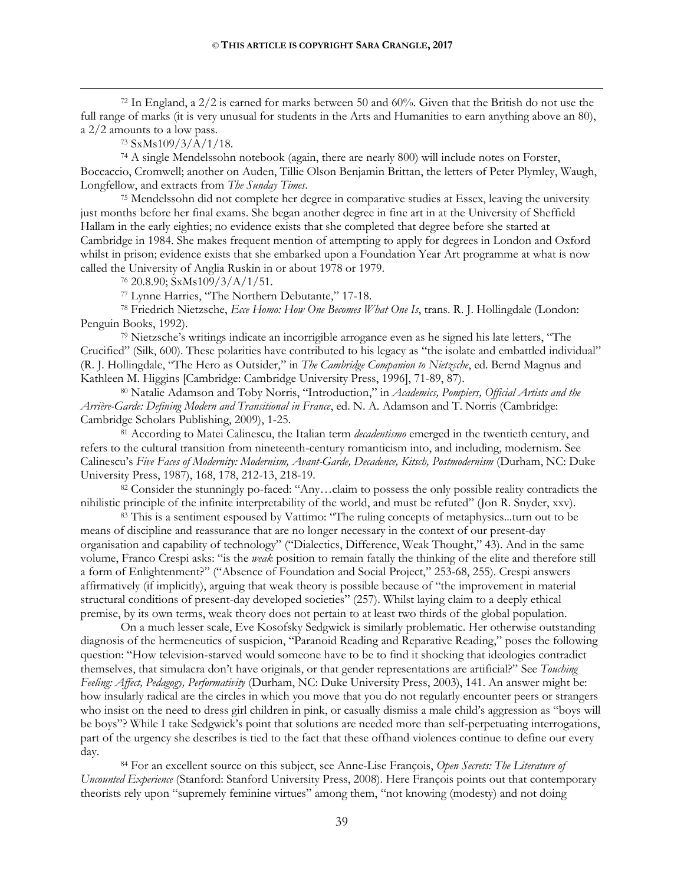<sup>72</sup> In England, a 2/2 is earned for marks between 50 and 60%. Given that the British do not use the full range of marks (it is very unusual for students in the Arts and Humanities to earn anything above an 80), a 2/2 amounts to a low pass.

<sup>73</sup> SxMs109/3/A/1/18.

 $\overline{a}$ 

<sup>74</sup> A single Mendelssohn notebook (again, there are nearly 800) will include notes on Forster, Boccaccio, Cromwell; another on Auden, Tillie Olson Benjamin Brittan, the letters of Peter Plymley, Waugh, Longfellow, and extracts from *The Sunday Times*.

<sup>75</sup> Mendelssohn did not complete her degree in comparative studies at Essex, leaving the university just months before her final exams. She began another degree in fine art in at the University of Sheffield Hallam in the early eighties; no evidence exists that she completed that degree before she started at Cambridge in 1984. She makes frequent mention of attempting to apply for degrees in London and Oxford whilst in prison; evidence exists that she embarked upon a Foundation Year Art programme at what is now called the University of Anglia Ruskin in or about 1978 or 1979.

<sup>76</sup> 20.8.90; SxMs109/3/A/1/51.

<sup>77</sup> Lynne Harries, "The Northern Debutante," 17-18.

<sup>78</sup> Friedrich Nietzsche, *Ecce Homo: How One Becomes What One Is*, trans. R. J. Hollingdale (London: Penguin Books, 1992).

<sup>79</sup> Nietzsche's writings indicate an incorrigible arrogance even as he signed his late letters, "The Crucified" (Silk, 600). These polarities have contributed to his legacy as "the isolate and embattled individual" (R. J. Hollingdale, "The Hero as Outsider," in *The Cambridge Companion to Nietzsche*, ed. Bernd Magnus and Kathleen M. Higgins [Cambridge: Cambridge University Press, 1996], 71-89, 87).

<sup>80</sup> Natalie Adamson and Toby Norris, "Introduction," in *Academics, Pompiers, Official Artists and the Arrière-Garde: Defining Modern and Transitional in France*, ed. N. A. Adamson and T. Norris (Cambridge: Cambridge Scholars Publishing, 2009), 1-25.

<sup>81</sup> According to Matei Calinescu, the Italian term *decadentismo* emerged in the twentieth century, and refers to the cultural transition from nineteenth-century romanticism into, and including, modernism. See Calinescu's *Five Faces of Modernity: Modernism, Avant-Garde, Decadence, Kitsch, Postmodernism* (Durham, NC: Duke University Press, 1987), 168, 178, 212-13, 218-19.

82 Consider the stunningly po-faced: "Any...claim to possess the only possible reality contradicts the nihilistic principle of the infinite interpretability of the world, and must be refuted" (Jon R. Snyder, xxv).

<sup>83</sup> This is a sentiment espoused by Vattimo: "The ruling concepts of metaphysics...turn out to be means of discipline and reassurance that are no longer necessary in the context of our present-day organisation and capability of technology" ("Dialectics, Difference, Weak Thought," 43). And in the same volume, Franco Crespi asks: "is the *weak* position to remain fatally the thinking of the elite and therefore still a form of Enlightenment?" ("Absence of Foundation and Social Project," 253-68, 255). Crespi answers affirmatively (if implicitly), arguing that weak theory is possible because of "the improvement in material structural conditions of present-day developed societies" (257). Whilst laying claim to a deeply ethical premise, by its own terms, weak theory does not pertain to at least two thirds of the global population.

On a much lesser scale, Eve Kosofsky Sedgwick is similarly problematic. Her otherwise outstanding diagnosis of the hermeneutics of suspicion, "Paranoid Reading and Reparative Reading," poses the following question: "How television-starved would someone have to be to find it shocking that ideologies contradict themselves, that simulacra don't have originals, or that gender representations are artificial?" See *Touching Feeling: Affect, Pedagogy, Performativity* (Durham, NC: Duke University Press, 2003), 141. An answer might be: how insularly radical are the circles in which you move that you do not regularly encounter peers or strangers who insist on the need to dress girl children in pink, or casually dismiss a male child's aggression as "boys will be boys"? While I take Sedgwick's point that solutions are needed more than self-perpetuating interrogations, part of the urgency she describes is tied to the fact that these offhand violences continue to define our every day.

<sup>84</sup> For an excellent source on this subject, see Anne-Lise François, *Open Secrets: The Literature of Uncounted Experience* (Stanford: Stanford University Press, 2008). Here François points out that contemporary theorists rely upon "supremely feminine virtues" among them, "not knowing (modesty) and not doing